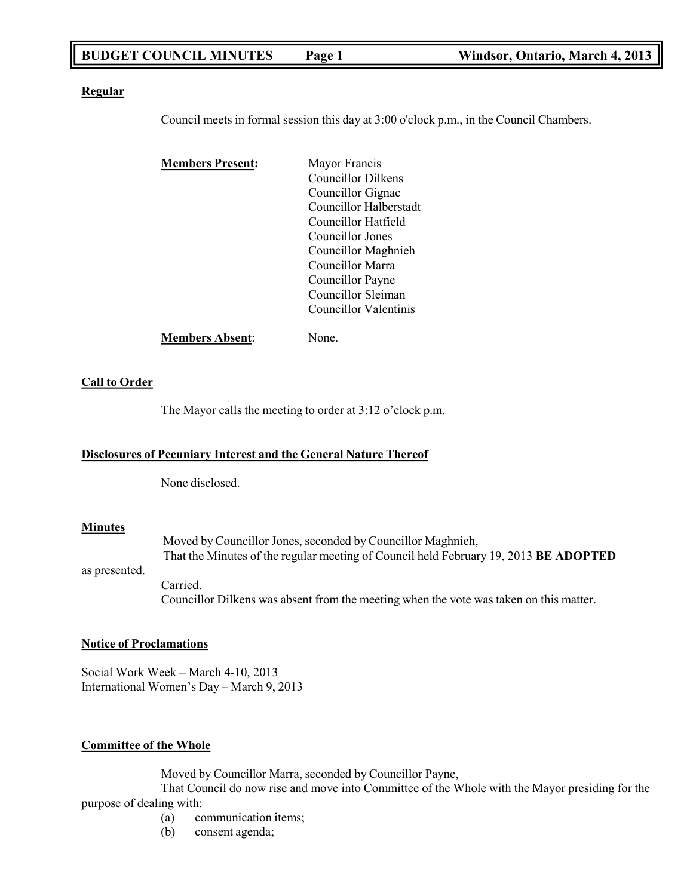## **BUDGET COUNCIL MINUTES Page 1 Windsor, Ontario, March 4, 2013**

#### **Regular**

Council meets in formal session this day at 3:00 o'clock p.m., in the Council Chambers.

| <b>Members Present:</b> | Mayor Francis          |
|-------------------------|------------------------|
|                         | Councillor Dilkens     |
|                         | Councillor Gignac      |
|                         | Councillor Halberstadt |
|                         | Councillor Hatfield    |
|                         | Councillor Jones       |
|                         | Councillor Maghnieh    |
|                         | Councillor Marra       |
|                         | Councillor Payne       |
|                         | Councillor Sleiman     |
|                         | Councillor Valentinis  |
| <b>Members Absent:</b>  | Jone.                  |

## **Call to Order**

The Mayor calls the meeting to order at 3:12 o'clock p.m.

## **Disclosures of Pecuniary Interest and the General Nature Thereof**

None disclosed.

## **Minutes**

as presented. Moved by Councillor Jones, seconded by Councillor Maghnieh, That the Minutes of the regular meeting of Council held February 19, 2013 **BE ADOPTED** Carried. Councillor Dilkens was absent from the meeting when the vote was taken on this matter.

## **Notice of Proclamations**

Social Work Week – March 4-10, 2013 International Women's Day – March 9, 2013

## **Committee of the Whole**

Moved by Councillor Marra, seconded by Councillor Payne,

That Council do now rise and move into Committee of the Whole with the Mayor presiding for the purpose of dealing with:

- (a) communication items;
- (b) consent agenda;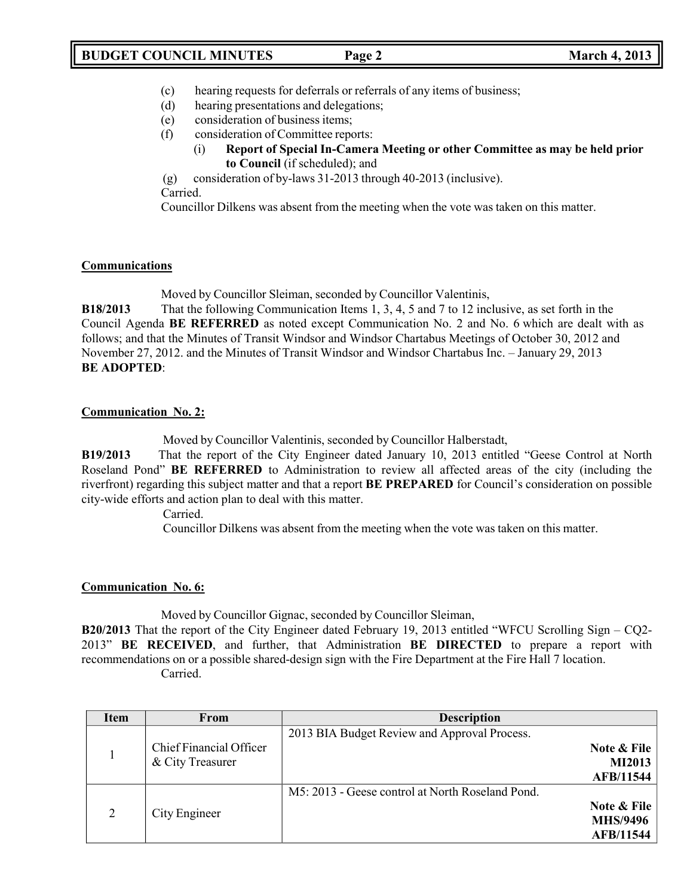- (c) hearing requests for deferrals or referrals of any items of business;
- (d) hearing presentations and delegations;
- (e) consideration of business items;
- (f) consideration of Committee reports:
	- (i) **Report of Special In-Camera Meeting or other Committee as may be held prior to Council** (if scheduled); and

(g) consideration of by-laws 31-2013 through 40-2013 (inclusive). Carried.

Councillor Dilkens was absent from the meeting when the vote was taken on this matter.

## **Communications**

Moved by Councillor Sleiman, seconded by Councillor Valentinis,

**B18/2013** That the following Communication Items 1, 3, 4, 5 and 7 to 12 inclusive, as set forth in the Council Agenda **BE REFERRED** as noted except Communication No. 2 and No. 6 which are dealt with as follows; and that the Minutes of Transit Windsor and Windsor Chartabus Meetings of October 30, 2012 and November 27, 2012. and the Minutes of Transit Windsor and Windsor Chartabus Inc. – January 29, 2013 **BE ADOPTED**:

## **Communication No. 2:**

Moved by Councillor Valentinis, seconded by Councillor Halberstadt,

**B19/2013** That the report of the City Engineer dated January 10, 2013 entitled "Geese Control at North Roseland Pond" **BE REFERRED** to Administration to review all affected areas of the city (including the riverfront) regarding this subject matter and that a report **BE PREPARED** for Council's consideration on possible city-wide efforts and action plan to deal with this matter.

Carried.

Councillor Dilkens was absent from the meeting when the vote was taken on this matter.

## **Communication No. 6:**

Moved by Councillor Gignac, seconded by Councillor Sleiman,

**B20/2013** That the report of the City Engineer dated February 19, 2013 entitled "WFCU Scrolling Sign – CQ2- 2013" **BE RECEIVED**, and further, that Administration **BE DIRECTED** to prepare a report with recommendations on or a possible shared-design sign with the Fire Department at the Fire Hall 7 location. Carried.

| Item | From                    | <b>Description</b>                               |                  |
|------|-------------------------|--------------------------------------------------|------------------|
|      |                         | 2013 BIA Budget Review and Approval Process.     |                  |
|      | Chief Financial Officer |                                                  | Note & File      |
|      | & City Treasurer        |                                                  | <b>MI2013</b>    |
|      |                         |                                                  | <b>AFB/11544</b> |
|      |                         | M5: 2013 - Geese control at North Roseland Pond. |                  |
| 2    |                         |                                                  | Note & File      |
|      | City Engineer           |                                                  | <b>MHS/9496</b>  |
|      |                         |                                                  | <b>AFB/11544</b> |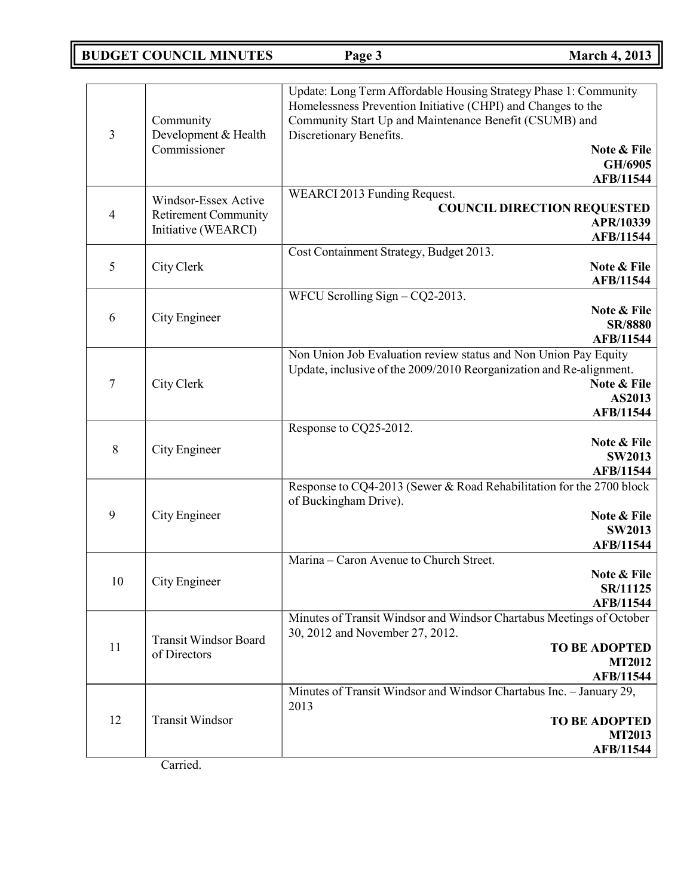# **BUDGET COUNCIL MINUTES Page 3 March 4, 2013**

| $\overline{3}$ | Community<br>Development & Health<br>Commissioner                          | Update: Long Term Affordable Housing Strategy Phase 1: Community<br>Homelessness Prevention Initiative (CHPI) and Changes to the<br>Community Start Up and Maintenance Benefit (CSUMB) and<br>Discretionary Benefits.<br>Note & File<br>GH/6905<br><b>AFB/11544</b> |
|----------------|----------------------------------------------------------------------------|---------------------------------------------------------------------------------------------------------------------------------------------------------------------------------------------------------------------------------------------------------------------|
| $\overline{4}$ | Windsor-Essex Active<br><b>Retirement Community</b><br>Initiative (WEARCI) | WEARCI 2013 Funding Request.<br><b>COUNCIL DIRECTION REQUESTED</b><br>APR/10339<br>AFB/11544                                                                                                                                                                        |
| 5              | City Clerk                                                                 | Cost Containment Strategy, Budget 2013.<br>Note & File<br>AFB/11544                                                                                                                                                                                                 |
| 6              | City Engineer                                                              | WFCU Scrolling Sign $-CQ2-2013$ .<br>Note & File<br><b>SR/8880</b><br><b>AFB/11544</b>                                                                                                                                                                              |
| $\tau$         | City Clerk                                                                 | Non Union Job Evaluation review status and Non Union Pay Equity<br>Update, inclusive of the 2009/2010 Reorganization and Re-alignment.<br>Note & File<br>AS2013<br><b>AFB/11544</b>                                                                                 |
| 8              | City Engineer                                                              | Response to CQ25-2012.<br>Note & File<br><b>SW2013</b><br>AFB/11544                                                                                                                                                                                                 |
| 9              | City Engineer                                                              | Response to CQ4-2013 (Sewer & Road Rehabilitation for the 2700 block<br>of Buckingham Drive).<br>Note & File<br><b>SW2013</b><br><b>AFB/11544</b>                                                                                                                   |
| 10             | City Engineer                                                              | Marina - Caron Avenue to Church Street.<br>Note & File<br><b>SR/11125</b><br><b>AFB/11544</b>                                                                                                                                                                       |
| 11             | <b>Transit Windsor Board</b><br>of Directors                               | Minutes of Transit Windsor and Windsor Chartabus Meetings of October<br>30, 2012 and November 27, 2012.<br><b>TO BE ADOPTED</b><br><b>MT2012</b><br><b>AFB/11544</b>                                                                                                |
| 12             | <b>Transit Windsor</b><br>$Cconst$ ad                                      | Minutes of Transit Windsor and Windsor Chartabus Inc. - January 29,<br>2013<br><b>TO BE ADOPTED</b><br><b>MT2013</b><br><b>AFB/11544</b>                                                                                                                            |

Carried.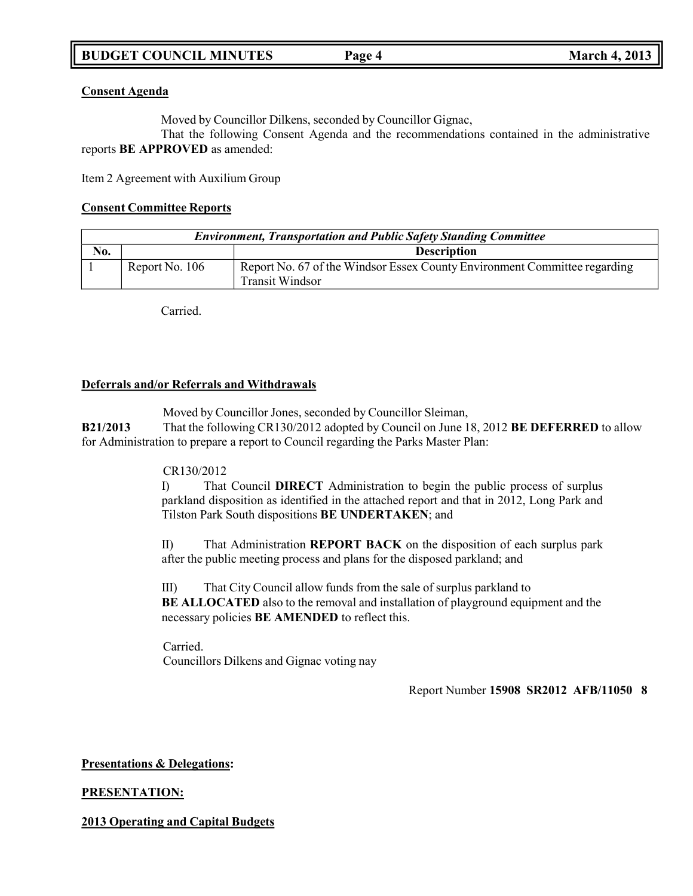## **Consent Agenda**

Moved by Councillor Dilkens, seconded by Councillor Gignac,

That the following Consent Agenda and the recommendations contained in the administrative reports **BE APPROVED** as amended:

Item 2 Agreement with Auxilium Group

## **Consent Committee Reports**

| <b>Environment, Transportation and Public Safety Standing Committee</b> |                |                                                                                                     |
|-------------------------------------------------------------------------|----------------|-----------------------------------------------------------------------------------------------------|
| No.                                                                     |                | <b>Description</b>                                                                                  |
|                                                                         | Report No. 106 | Report No. 67 of the Windsor Essex County Environment Committee regarding<br><b>Transit Windsor</b> |

Carried.

## **Deferrals and/or Referrals and Withdrawals**

Moved by Councillor Jones, seconded by Councillor Sleiman,

**B21/2013** That the following CR130/2012 adopted by Council on June 18, 2012 **BE DEFERRED** to allow for Administration to prepare a report to Council regarding the Parks Master Plan:

## CR130/2012

I) That Council **DIRECT** Administration to begin the public process of surplus parkland disposition as identified in the attached report and that in 2012, Long Park and Tilston Park South dispositions **BE UNDERTAKEN**; and

II) That Administration **REPORT BACK** on the disposition of each surplus park after the public meeting process and plans for the disposed parkland; and

III) That City Council allow funds from the sale of surplus parkland to **BE ALLOCATED** also to the removal and installation of playground equipment and the necessary policies **BE AMENDED** to reflect this.

Carried. Councillors Dilkens and Gignac voting nay

Report Number **15908 SR2012 AFB/11050 8**

## **Presentations & Delegations:**

## **PRESENTATION:**

**2013 Operating and Capital Budgets**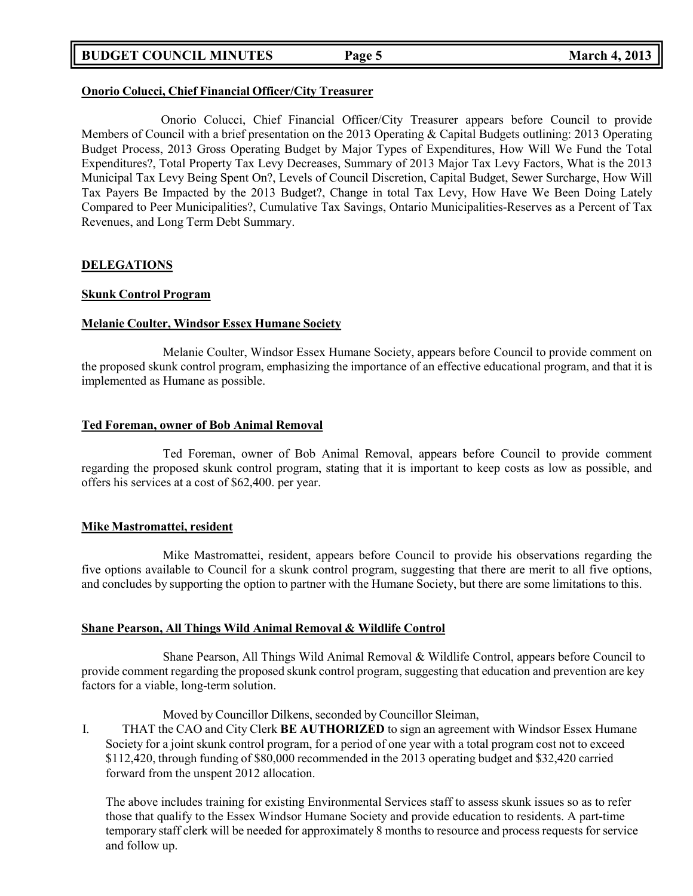## **BUDGET COUNCIL MINUTES Page 5 March 4, 2013**

## **Onorio Colucci, Chief Financial Officer/City Treasurer**

Onorio Colucci, Chief Financial Officer/City Treasurer appears before Council to provide Members of Council with a brief presentation on the 2013 Operating & Capital Budgets outlining: 2013 Operating Budget Process, 2013 Gross Operating Budget by Major Types of Expenditures, How Will We Fund the Total Expenditures?, Total Property Tax Levy Decreases, Summary of 2013 Major Tax Levy Factors, What is the 2013 Municipal Tax Levy Being Spent On?, Levels of Council Discretion, Capital Budget, Sewer Surcharge, How Will Tax Payers Be Impacted by the 2013 Budget?, Change in total Tax Levy, How Have We Been Doing Lately Compared to Peer Municipalities?, Cumulative Tax Savings, Ontario Municipalities-Reserves as a Percent of Tax Revenues, and Long Term Debt Summary.

### **DELEGATIONS**

### **Skunk Control Program**

### **Melanie Coulter, Windsor Essex Humane Society**

Melanie Coulter, Windsor Essex Humane Society, appears before Council to provide comment on the proposed skunk control program, emphasizing the importance of an effective educational program, and that it is implemented as Humane as possible.

### **Ted Foreman, owner of Bob Animal Removal**

Ted Foreman, owner of Bob Animal Removal, appears before Council to provide comment regarding the proposed skunk control program, stating that it is important to keep costs as low as possible, and offers his services at a cost of \$62,400. per year.

## **Mike Mastromattei, resident**

Mike Mastromattei, resident, appears before Council to provide his observations regarding the five options available to Council for a skunk control program, suggesting that there are merit to all five options, and concludes by supporting the option to partner with the Humane Society, but there are some limitations to this.

## **Shane Pearson, All Things Wild Animal Removal & Wildlife Control**

Shane Pearson, All Things Wild Animal Removal & Wildlife Control, appears before Council to provide comment regarding the proposed skunk control program, suggesting that education and prevention are key factors for a viable, long-term solution.

#### Moved by Councillor Dilkens, seconded by Councillor Sleiman,

I. THAT the CAO and City Clerk **BE AUTHORIZED** to sign an agreement with Windsor Essex Humane Society for a joint skunk control program, for a period of one year with a total program cost not to exceed \$112,420, through funding of \$80,000 recommended in the 2013 operating budget and \$32,420 carried forward from the unspent 2012 allocation.

The above includes training for existing Environmental Services staff to assess skunk issues so as to refer those that qualify to the Essex Windsor Humane Society and provide education to residents. A part-time temporary staff clerk will be needed for approximately 8 months to resource and process requests for service and follow up.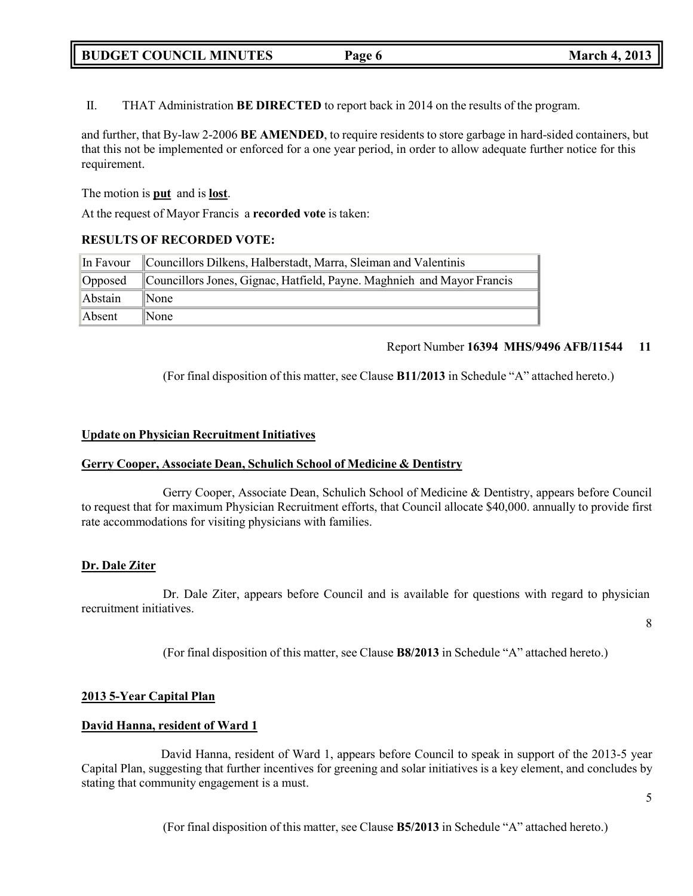# **BUDGET COUNCIL MINUTES Page 6 March 4, 2013**

II. THAT Administration **BE DIRECTED** to report back in 2014 on the results of the program.

and further, that By-law 2-2006 **BE AMENDED**, to require residents to store garbage in hard-sided containers, but that this not be implemented or enforced for a one year period, in order to allow adequate further notice for this requirement.

The motion is **put** and is **lost**.

At the request of Mayor Francis a **recorded vote** is taken:

## **RESULTS OF RECORDED VOTE:**

| In Favour | Councillors Dilkens, Halberstadt, Marra, Sleiman and Valentinis        |
|-----------|------------------------------------------------------------------------|
| Opposed   | Councillors Jones, Gignac, Hatfield, Payne. Maghnieh and Mayor Francis |
| Abstain   | $\mathbb{N}$ one                                                       |
| Absent    | $\mathbb{N}$ one                                                       |

### Report Number **16394 MHS/9496 AFB/11544 11**

(For final disposition of this matter, see Clause **B11/2013** in Schedule "A" attached hereto.)

### **Update on Physician Recruitment Initiatives**

#### **Gerry Cooper, Associate Dean, Schulich School of Medicine & Dentistry**

Gerry Cooper, Associate Dean, Schulich School of Medicine & Dentistry, appears before Council to request that for maximum Physician Recruitment efforts, that Council allocate \$40,000. annually to provide first rate accommodations for visiting physicians with families.

## **Dr. Dale Ziter**

Dr. Dale Ziter, appears before Council and is available for questions with regard to physician recruitment initiatives.

8

(For final disposition of this matter, see Clause **B8/2013** in Schedule "A" attached hereto.)

## **2013 5-Year Capital Plan**

## **David Hanna, resident of Ward 1**

David Hanna, resident of Ward 1, appears before Council to speak in support of the 2013-5 year Capital Plan, suggesting that further incentives for greening and solar initiatives is a key element, and concludes by stating that community engagement is a must.

(For final disposition of this matter, see Clause **B5/2013** in Schedule "A" attached hereto.)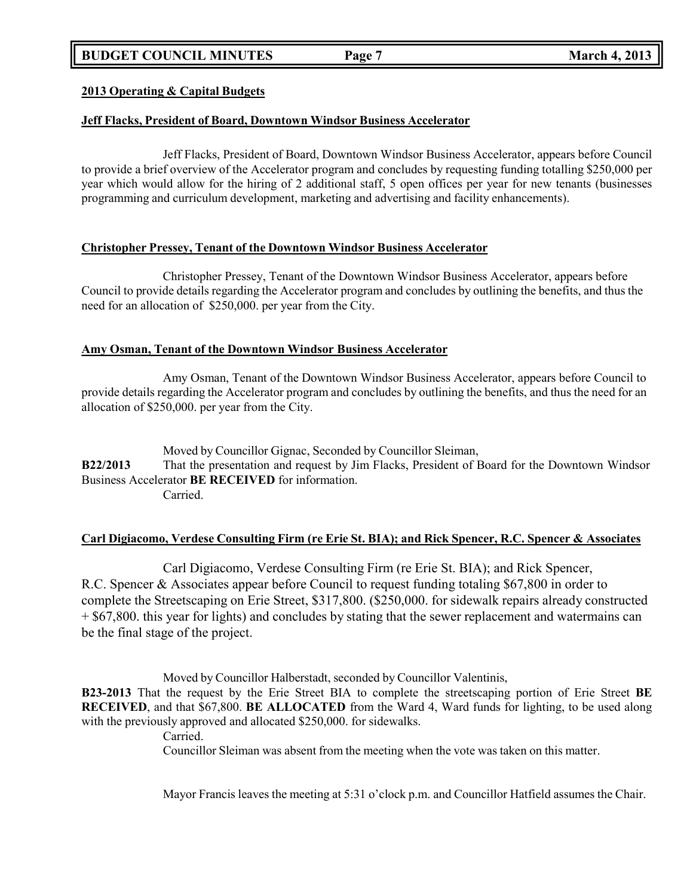## **BUDGET COUNCIL MINUTES Page 7 March 4, 2013**

## **2013 Operating & Capital Budgets**

## **Jeff Flacks, President of Board, Downtown Windsor Business Accelerator**

Jeff Flacks, President of Board, Downtown Windsor Business Accelerator, appears before Council to provide a brief overview of the Accelerator program and concludes by requesting funding totalling \$250,000 per year which would allow for the hiring of 2 additional staff, 5 open offices per year for new tenants (businesses programming and curriculum development, marketing and advertising and facility enhancements).

## **Christopher Pressey, Tenant of the Downtown Windsor Business Accelerator**

Christopher Pressey, Tenant of the Downtown Windsor Business Accelerator, appears before Council to provide details regarding the Accelerator program and concludes by outlining the benefits, and thus the need for an allocation of \$250,000. per year from the City.

## **Amy Osman, Tenant of the Downtown Windsor Business Accelerator**

Amy Osman, Tenant of the Downtown Windsor Business Accelerator, appears before Council to provide details regarding the Accelerator program and concludes by outlining the benefits, and thus the need for an allocation of \$250,000. per year from the City.

Moved by Councillor Gignac, Seconded by Councillor Sleiman, **B22/2013** That the presentation and request by Jim Flacks, President of Board for the Downtown Windsor Business Accelerator **BE RECEIVED** for information. Carried.

## **Carl Digiacomo, Verdese Consulting Firm (re Erie St. BIA); and Rick Spencer, R.C. Spencer & Associates**

Carl Digiacomo, Verdese Consulting Firm (re Erie St. BIA); and Rick Spencer, R.C. Spencer & Associates appear before Council to request funding totaling \$67,800 in order to complete the Streetscaping on Erie Street, \$317,800. (\$250,000. for sidewalk repairs already constructed + \$67,800. this year for lights) and concludes by stating that the sewer replacement and watermains can be the final stage of the project.

Moved by Councillor Halberstadt, seconded by Councillor Valentinis,

**B23-2013** That the request by the Erie Street BIA to complete the streetscaping portion of Erie Street **BE RECEIVED**, and that \$67,800. **BE ALLOCATED** from the Ward 4, Ward funds for lighting, to be used along with the previously approved and allocated \$250,000. for sidewalks.

Carried.

Councillor Sleiman was absent from the meeting when the vote was taken on this matter.

Mayor Francis leaves the meeting at 5:31 o'clock p.m. and Councillor Hatfield assumes the Chair.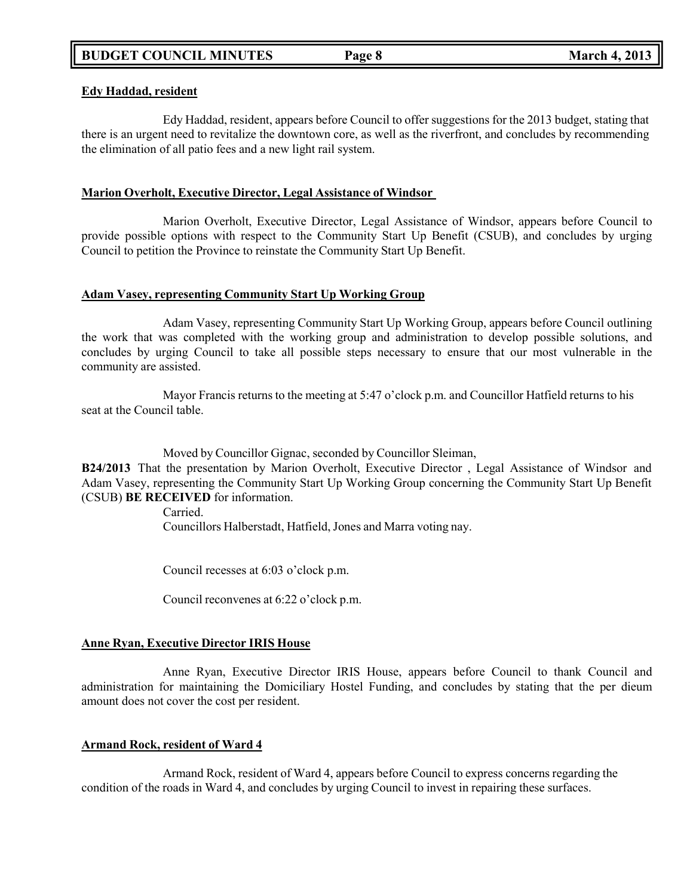## **Edy Haddad, resident**

Edy Haddad, resident, appears before Council to offer suggestions for the 2013 budget, stating that there is an urgent need to revitalize the downtown core, as well as the riverfront, and concludes by recommending the elimination of all patio fees and a new light rail system.

## **Marion Overholt, Executive Director, Legal Assistance of Windsor**

Marion Overholt, Executive Director, Legal Assistance of Windsor, appears before Council to provide possible options with respect to the Community Start Up Benefit (CSUB), and concludes by urging Council to petition the Province to reinstate the Community Start Up Benefit.

## **Adam Vasey, representing Community Start Up Working Group**

Adam Vasey, representing Community Start Up Working Group, appears before Council outlining the work that was completed with the working group and administration to develop possible solutions, and concludes by urging Council to take all possible steps necessary to ensure that our most vulnerable in the community are assisted.

Mayor Francis returns to the meeting at 5:47 o'clock p.m. and Councillor Hatfield returns to his seat at the Council table.

Moved by Councillor Gignac, seconded by Councillor Sleiman,

**B24/2013** That the presentation by Marion Overholt, Executive Director , Legal Assistance of Windsor and Adam Vasey, representing the Community Start Up Working Group concerning the Community Start Up Benefit (CSUB) **BE RECEIVED** for information.

Carried.

Councillors Halberstadt, Hatfield, Jones and Marra voting nay.

Council recesses at 6:03 o'clock p.m.

Council reconvenes at 6:22 o'clock p.m.

## **Anne Ryan, Executive Director IRIS House**

Anne Ryan, Executive Director IRIS House, appears before Council to thank Council and administration for maintaining the Domiciliary Hostel Funding, and concludes by stating that the per dieum amount does not cover the cost per resident.

## **Armand Rock, resident of Ward 4**

Armand Rock, resident of Ward 4, appears before Council to express concerns regarding the condition of the roads in Ward 4, and concludes by urging Council to invest in repairing these surfaces.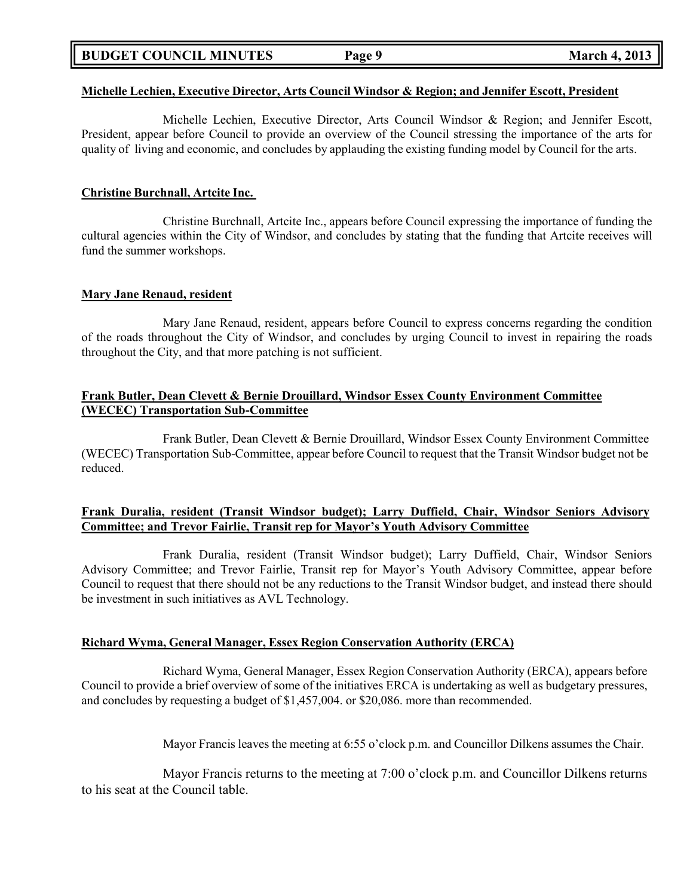## **BUDGET COUNCIL MINUTES Page 9 March 4, 2013**

#### **Michelle Lechien, Executive Director, Arts Council Windsor & Region; and Jennifer Escott, President**

Michelle Lechien, Executive Director, Arts Council Windsor & Region; and Jennifer Escott, President, appear before Council to provide an overview of the Council stressing the importance of the arts for quality of living and economic, and concludes by applauding the existing funding model by Council for the arts.

#### **Christine Burchnall, Artcite Inc.**

Christine Burchnall, Artcite Inc., appears before Council expressing the importance of funding the cultural agencies within the City of Windsor, and concludes by stating that the funding that Artcite receives will fund the summer workshops.

#### **Mary Jane Renaud, resident**

Mary Jane Renaud, resident, appears before Council to express concerns regarding the condition of the roads throughout the City of Windsor, and concludes by urging Council to invest in repairing the roads throughout the City, and that more patching is not sufficient.

## **Frank Butler, Dean Clevett & Bernie Drouillard, Windsor Essex County Environment Committee (WECEC) Transportation Sub-Committee**

Frank Butler, Dean Clevett & Bernie Drouillard, Windsor Essex County Environment Committee (WECEC) Transportation Sub-Committee, appear before Council to request that the Transit Windsor budget not be reduced.

## **Frank Duralia, resident (Transit Windsor budget); Larry Duffield, Chair, Windsor Seniors Advisory Committee; and Trevor Fairlie, Transit rep for Mayor's Youth Advisory Committee**

Frank Duralia, resident (Transit Windsor budget); Larry Duffield, Chair, Windsor Seniors Advisory Committe**e**; and Trevor Fairlie, Transit rep for Mayor's Youth Advisory Committee, appear before Council to request that there should not be any reductions to the Transit Windsor budget, and instead there should be investment in such initiatives as AVL Technology.

#### **Richard Wyma, General Manager, Essex Region Conservation Authority (ERCA)**

Richard Wyma, General Manager, Essex Region Conservation Authority (ERCA), appears before Council to provide a brief overview of some of the initiatives ERCA is undertaking as well as budgetary pressures, and concludes by requesting a budget of \$1,457,004. or \$20,086. more than recommended.

Mayor Francis leaves the meeting at 6:55 o'clock p.m. and Councillor Dilkens assumes the Chair.

Mayor Francis returns to the meeting at 7:00 o'clock p.m. and Councillor Dilkens returns to his seat at the Council table.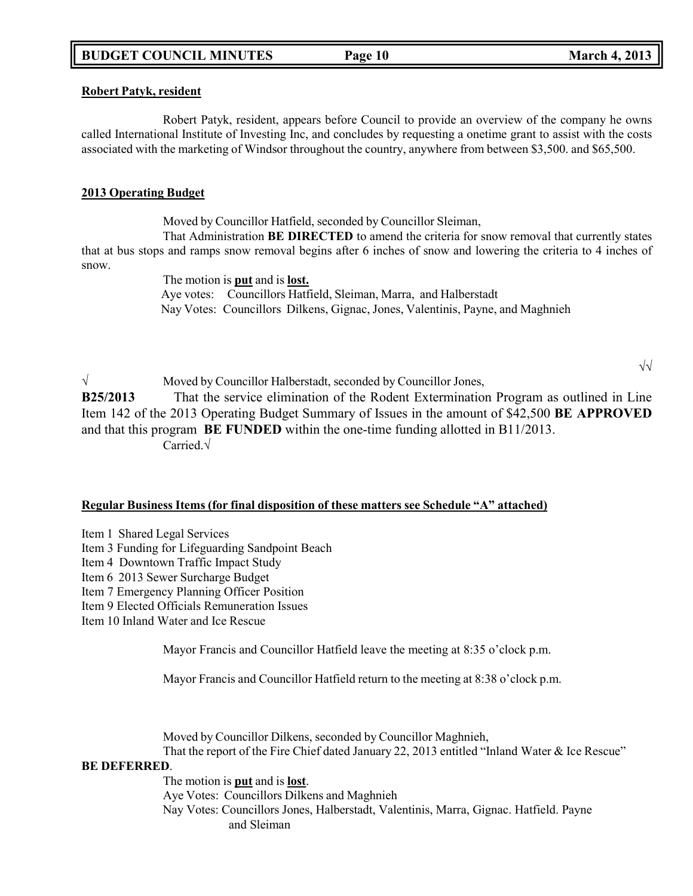### **Robert Patyk, resident**

Robert Patyk, resident, appears before Council to provide an overview of the company he owns called International Institute of Investing Inc, and concludes by requesting a onetime grant to assist with the costs associated with the marketing of Windsor throughout the country, anywhere from between \$3,500. and \$65,500.

## **2013 Operating Budget**

Moved by Councillor Hatfield, seconded by Councillor Sleiman,

That Administration **BE DIRECTED** to amend the criteria for snow removal that currently states that at bus stops and ramps snow removal begins after 6 inches of snow and lowering the criteria to 4 inches of snow.

The motion is **put** and is **lost.** Aye votes: Councillors Hatfield, Sleiman, Marra, and Halberstadt Nay Votes: Councillors Dilkens, Gignac, Jones, Valentinis, Payne, and Maghnieh

√ Moved by Councillor Halberstadt, seconded by Councillor Jones, **B25/2013** That the service elimination of the Rodent Extermination Program as outlined in Line Item 142 of the 2013 Operating Budget Summary of Issues in the amount of \$42,500 **BE APPROVED** and that this program **BE FUNDED** within the one-time funding allotted in B11/2013. Carried.√

### **Regular Business Items (for final disposition of these matters see Schedule "A" attached)**

- Item 1 Shared Legal Services
- Item 3 Funding for Lifeguarding Sandpoint Beach
- Item 4 Downtown Traffic Impact Study
- Item 6 2013 Sewer Surcharge Budget
- Item 7 Emergency Planning Officer Position
- Item 9 Elected Officials Remuneration Issues
- Item 10 Inland Water and Ice Rescue

Mayor Francis and Councillor Hatfield leave the meeting at 8:35 o'clock p.m.

Mayor Francis and Councillor Hatfield return to the meeting at 8:38 o'clock p.m.

Moved by Councillor Dilkens, seconded by Councillor Maghnieh, That the report of the Fire Chief dated January 22, 2013 entitled "Inland Water & Ice Rescue"

#### **BE DEFERRED**.

The motion is **put** and is **lost**.

Aye Votes: Councillors Dilkens and Maghnieh

Nay Votes: Councillors Jones, Halberstadt, Valentinis, Marra, Gignac. Hatfield. Payne and Sleiman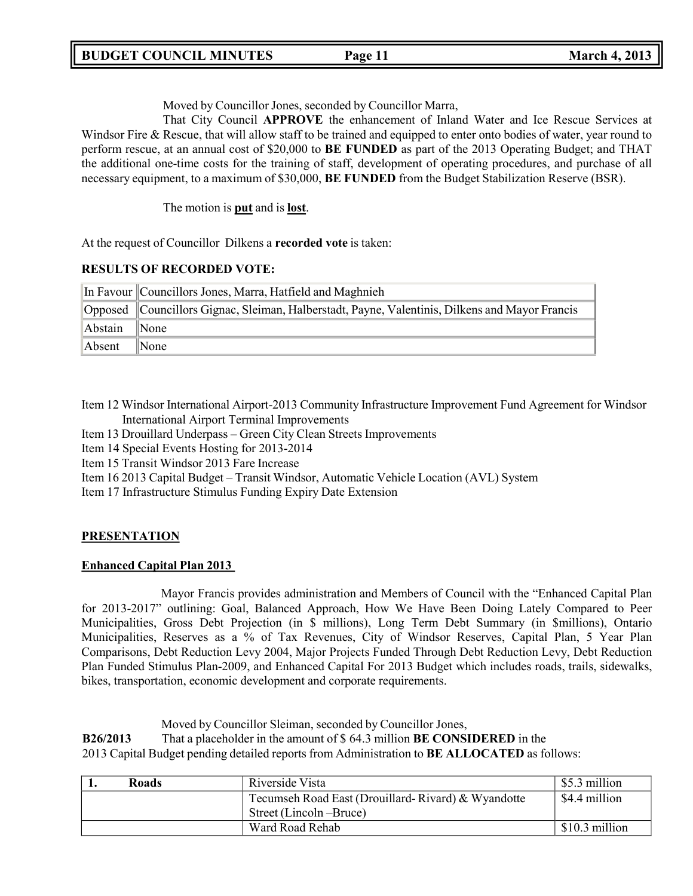Moved by Councillor Jones, seconded by Councillor Marra,

That City Council **APPROVE** the enhancement of Inland Water and Ice Rescue Services at Windsor Fire & Rescue, that will allow staff to be trained and equipped to enter onto bodies of water, year round to perform rescue, at an annual cost of \$20,000 to **BE FUNDED** as part of the 2013 Operating Budget; and THAT the additional one-time costs for the training of staff, development of operating procedures, and purchase of all necessary equipment, to a maximum of \$30,000, **BE FUNDED** from the Budget Stabilization Reserve (BSR).

The motion is **put** and is **lost**.

At the request of Councillor Dilkens a **recorded vote** is taken:

## **RESULTS OF RECORDED VOTE:**

|         | In Favour Councillors Jones, Marra, Hatfield and Maghnieh                                      |
|---------|------------------------------------------------------------------------------------------------|
|         | Opposed Councillors Gignac, Sleiman, Halberstadt, Payne, Valentinis, Dilkens and Mayor Francis |
| Abstain | $\mathbb{N}$ one                                                                               |
| Absent  | $\mathbb{N}$ one                                                                               |

Item 12 Windsor International Airport-2013 Community Infrastructure Improvement Fund Agreement for Windsor International Airport Terminal Improvements

Item 13 Drouillard Underpass – Green City Clean Streets Improvements

Item 14 Special Events Hosting for 2013-2014

Item 15 Transit Windsor 2013 Fare Increase

Item 16 2013 Capital Budget – Transit Windsor, Automatic Vehicle Location (AVL) System

Item 17 Infrastructure Stimulus Funding Expiry Date Extension

## **PRESENTATION**

## **Enhanced Capital Plan 2013**

Mayor Francis provides administration and Members of Council with the "Enhanced Capital Plan for 2013-2017" outlining: Goal, Balanced Approach, How We Have Been Doing Lately Compared to Peer Municipalities, Gross Debt Projection (in \$ millions), Long Term Debt Summary (in \$millions), Ontario Municipalities, Reserves as a % of Tax Revenues, City of Windsor Reserves, Capital Plan, 5 Year Plan Comparisons, Debt Reduction Levy 2004, Major Projects Funded Through Debt Reduction Levy, Debt Reduction Plan Funded Stimulus Plan-2009, and Enhanced Capital For 2013 Budget which includes roads, trails, sidewalks, bikes, transportation, economic development and corporate requirements.

Moved by Councillor Sleiman, seconded by Councillor Jones,

**B26/2013** That a placeholder in the amount of \$ 64.3 million **BE CONSIDERED** in the

2013 Capital Budget pending detailed reports from Administration to **BE ALLOCATED** as follows:

| <b>Roads</b> | Riverside Vista                                    | \$5.3 million   |
|--------------|----------------------------------------------------|-----------------|
|              | Tecumseh Road East (Drouillard-Rivard) & Wyandotte | \$4.4 million   |
|              | Street (Lincoln –Bruce)                            |                 |
|              | Ward Road Rehab                                    | $$10.3$ million |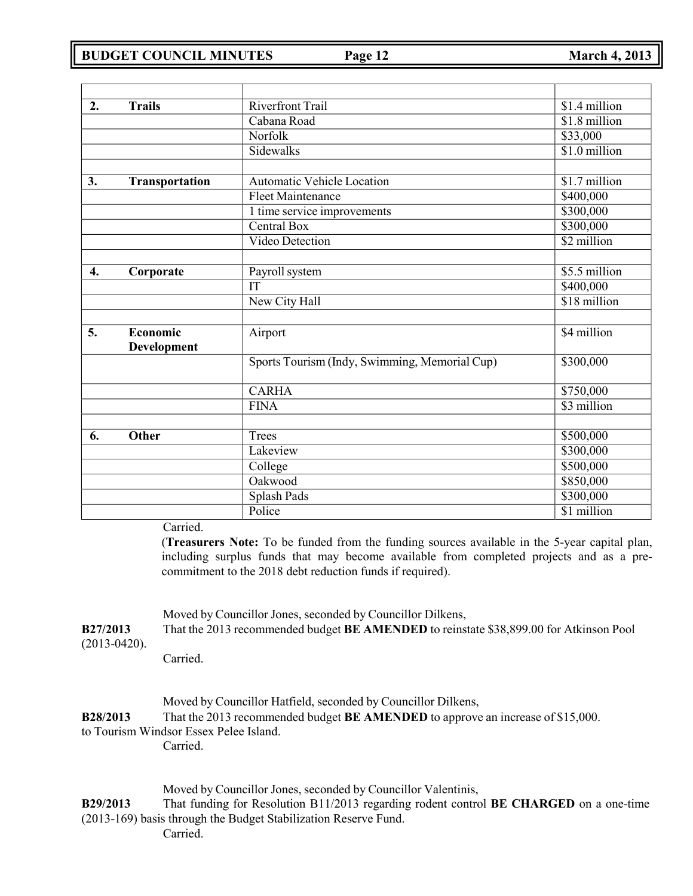| 2.               | <b>Trails</b>         | <b>Riverfront Trail</b>                       | \$1.4 million |
|------------------|-----------------------|-----------------------------------------------|---------------|
|                  |                       | Cabana Road                                   | \$1.8 million |
|                  |                       | Norfolk                                       | \$33,000      |
|                  |                       | Sidewalks                                     | \$1.0 million |
|                  |                       |                                               |               |
| 3.               | <b>Transportation</b> | Automatic Vehicle Location                    | \$1.7 million |
|                  |                       | <b>Fleet Maintenance</b>                      | \$400,000     |
|                  |                       | 1 time service improvements                   | \$300,000     |
|                  |                       | Central Box                                   | \$300,000     |
|                  |                       | Video Detection                               | \$2 million   |
|                  |                       |                                               |               |
| $\overline{4}$ . | Corporate             | Payroll system                                | \$5.5 million |
|                  |                       | $\overline{\text{IT}}$                        | \$400,000     |
|                  |                       | New City Hall                                 | \$18 million  |
|                  |                       |                                               |               |
| 5.               | Economic              | Airport                                       | \$4 million   |
|                  | Development           |                                               |               |
|                  |                       | Sports Tourism (Indy, Swimming, Memorial Cup) | \$300,000     |
|                  |                       |                                               |               |
|                  |                       | <b>CARHA</b>                                  | \$750,000     |
|                  |                       | <b>FINA</b>                                   | \$3 million   |
|                  |                       |                                               |               |
| 6.               | Other                 | <b>Trees</b>                                  | \$500,000     |
|                  |                       | Lakeview                                      | \$300,000     |
|                  |                       | College                                       | \$500,000     |
|                  |                       | Oakwood                                       | \$850,000     |
|                  |                       | Splash Pads                                   | \$300,000     |
|                  |                       | Police                                        | \$1 million   |
|                  | Carried.              |                                               |               |

Carried.

(**Treasurers Note:** To be funded from the funding sources available in the 5-year capital plan, including surplus funds that may become available from completed projects and as a precommitment to the 2018 debt reduction funds if required).

Moved by Councillor Jones, seconded by Councillor Dilkens,

| <b>B27/2013</b> | That the 2013 recommended budget <b>BE AMENDED</b> to reinstate \$38,899.00 for Atkinson Pool |
|-----------------|-----------------------------------------------------------------------------------------------|
| $(2013-0420).$  |                                                                                               |

Carried.

|                 | Moved by Councillor Hatfield, seconded by Councillor Dilkens,                          |
|-----------------|----------------------------------------------------------------------------------------|
| <b>B28/2013</b> | That the 2013 recommended budget <b>BE AMENDED</b> to approve an increase of \$15,000. |
|                 | ta Tamiinn Windoon Facan Dalaa Island.                                                 |

# to Tourism Windsor Essex Pelee Island.

Carried.

Moved by Councillor Jones, seconded by Councillor Valentinis,

**B29/2013** That funding for Resolution B11/2013 regarding rodent control **BE CHARGED** on a one-time (2013-169) basis through the Budget Stabilization Reserve Fund. Carried.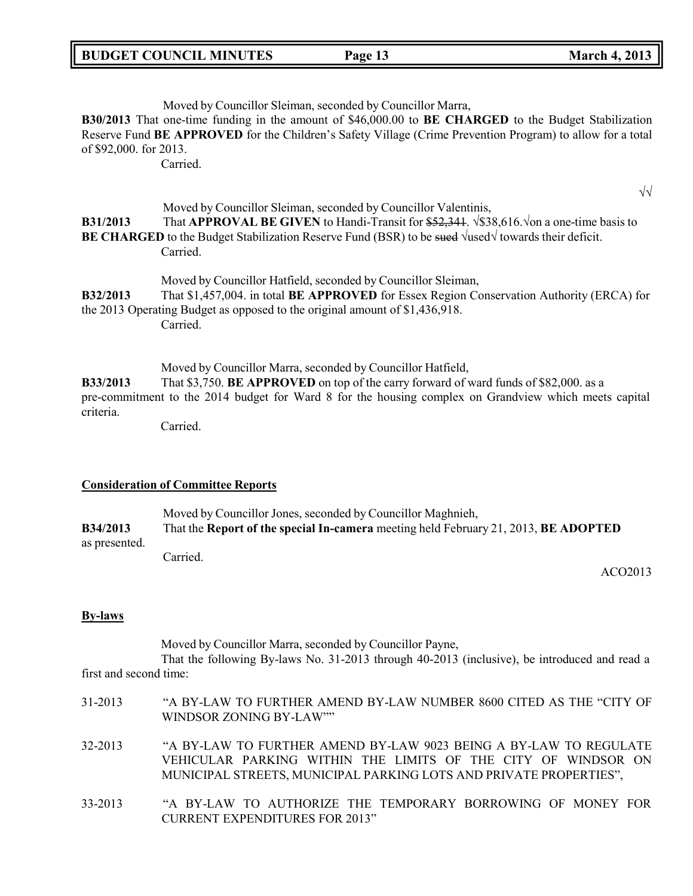| <b>BUDGET COUNCIL MINUTES</b> |  |
|-------------------------------|--|
|-------------------------------|--|

## Moved by Councillor Sleiman, seconded by Councillor Marra,

**B30/2013** That one-time funding in the amount of \$46,000.00 to **BE CHARGED** to the Budget Stabilization Reserve Fund **BE APPROVED** for the Children's Safety Village (Crime Prevention Program) to allow for a total of \$92,000. for 2013.

Carried.

√√ Moved by Councillor Sleiman, seconded by Councillor Valentinis,

## **B31/2013** That **APPROVAL BE GIVEN** to Handi-Transit for \$52,341. √\$38,616.√on a one-time basis to **BE CHARGED** to the Budget Stabilization Reserve Fund (BSR) to be sued √used√ towards their deficit. Carried.

Moved by Councillor Hatfield, seconded by Councillor Sleiman, **B32/2013** That \$1,457,004. in total **BE APPROVED** for Essex Region Conservation Authority (ERCA) for the 2013 Operating Budget as opposed to the original amount of \$1,436,918. Carried.

Moved by Councillor Marra, seconded by Councillor Hatfield, **B33/2013** That \$3,750. **BE APPROVED** on top of the carry forward of ward funds of \$82,000. as a pre-commitment to the 2014 budget for Ward 8 for the housing complex on Grandview which meets capital criteria.

Carried.

## **Consideration of Committee Reports**

Moved by Councillor Jones, seconded by Councillor Maghnieh, **B34/2013** That the **Report of the special In-camera** meeting held February 21, 2013, **BE ADOPTED** as presented. Carried.

ACO2013

## **By-laws**

Moved by Councillor Marra, seconded by Councillor Payne,

That the following By-laws No. 31-2013 through 40-2013 (inclusive), be introduced and read a first and second time:

| 31-2013 | "A BY-LAW TO FURTHER AMEND BY-LAW NUMBER 8600 CITED AS THE "CITY OF<br>WINDSOR ZONING BY-LAW""                                                                                                           |
|---------|----------------------------------------------------------------------------------------------------------------------------------------------------------------------------------------------------------|
| 32-2013 | "A BY-LAW TO FURTHER AMEND BY-LAW 9023 BEING A BY-LAW TO REGULATE<br>VEHICULAR PARKING WITHIN THE LIMITS OF THE CITY OF WINDSOR ON<br>MUNICIPAL STREETS, MUNICIPAL PARKING LOTS AND PRIVATE PROPERTIES", |
| 33-2013 | "A BY-LAW TO AUTHORIZE THE TEMPORARY BORROWING OF MONEY FOR<br>CURRENT EXPENDITURES FOR 2013"                                                                                                            |

## **BUDGET COUNCIL MINUTES Page 13 March 4, 2013**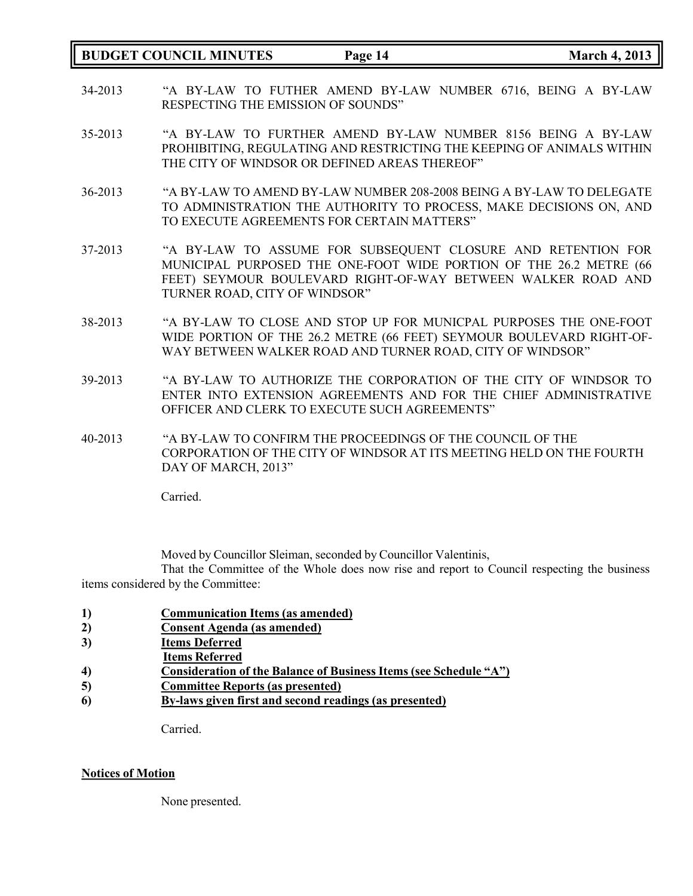## **BUDGET COUNCIL MINUTES Page 14 March 4, 2013**

- 34-2013 "A BY-LAW TO FUTHER AMEND BY-LAW NUMBER 6716, BEING A BY-LAW RESPECTING THE EMISSION OF SOUNDS"
- 35-2013 "A BY-LAW TO FURTHER AMEND BY-LAW NUMBER 8156 BEING A BY-LAW PROHIBITING, REGULATING AND RESTRICTING THE KEEPING OF ANIMALS WITHIN THE CITY OF WINDSOR OR DEFINED AREAS THEREOF"
- 36-2013 "A BY-LAW TO AMEND BY-LAW NUMBER 208-2008 BEING A BY-LAW TO DELEGATE TO ADMINISTRATION THE AUTHORITY TO PROCESS, MAKE DECISIONS ON, AND TO EXECUTE AGREEMENTS FOR CERTAIN MATTERS"
- 37-2013 "A BY-LAW TO ASSUME FOR SUBSEQUENT CLOSURE AND RETENTION FOR MUNICIPAL PURPOSED THE ONE-FOOT WIDE PORTION OF THE 26.2 METRE (66 FEET) SEYMOUR BOULEVARD RIGHT-OF-WAY BETWEEN WALKER ROAD AND TURNER ROAD, CITY OF WINDSOR"
- 38-2013 "A BY-LAW TO CLOSE AND STOP UP FOR MUNICPAL PURPOSES THE ONE-FOOT WIDE PORTION OF THE 26.2 METRE (66 FEET) SEYMOUR BOULEVARD RIGHT-OF-WAY BETWEEN WALKER ROAD AND TURNER ROAD, CITY OF WINDSOR"
- 39-2013 "A BY-LAW TO AUTHORIZE THE CORPORATION OF THE CITY OF WINDSOR TO ENTER INTO EXTENSION AGREEMENTS AND FOR THE CHIEF ADMINISTRATIVE OFFICER AND CLERK TO EXECUTE SUCH AGREEMENTS"
- 40-2013 "A BY-LAW TO CONFIRM THE PROCEEDINGS OF THE COUNCIL OF THE CORPORATION OF THE CITY OF WINDSOR AT ITS MEETING HELD ON THE FOURTH DAY OF MARCH, 2013"

Carried.

Moved by Councillor Sleiman, seconded by Councillor Valentinis,

That the Committee of the Whole does now rise and report to Council respecting the business items considered by the Committee:

- **1) Communication Items (as amended)**
- **2) Consent Agenda (as amended)**
- **3) Items Deferred**
- **Items Referred**
- **4) Consideration of the Balance of Business Items (see Schedule "A")**
- **5) Committee Reports (as presented)**
- **6) By-laws given first and second readings (as presented)**

Carried.

#### **Notices of Motion**

None presented.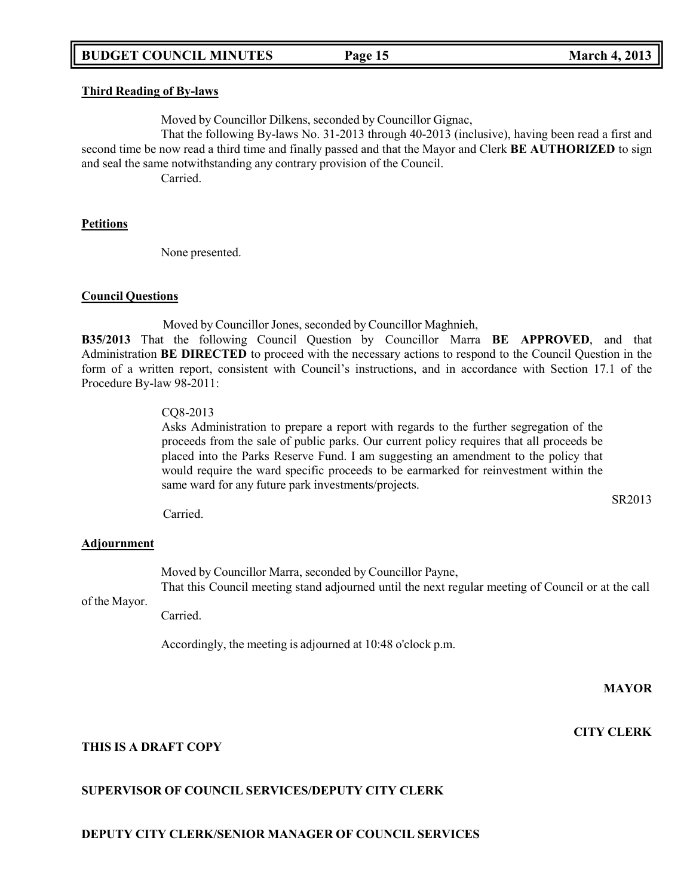#### **Third Reading of By-laws**

Moved by Councillor Dilkens, seconded by Councillor Gignac,

That the following By-laws No. 31-2013 through 40-2013 (inclusive), having been read a first and second time be now read a third time and finally passed and that the Mayor and Clerk **BE AUTHORIZED** to sign and seal the same notwithstanding any contrary provision of the Council.

Carried.

### **Petitions**

None presented.

### **Council Questions**

Moved by Councillor Jones, seconded by Councillor Maghnieh,

**B35/2013** That the following Council Question by Councillor Marra **BE APPROVED**, and that Administration **BE DIRECTED** to proceed with the necessary actions to respond to the Council Question in the form of a written report, consistent with Council's instructions, and in accordance with Section 17.1 of the Procedure By-law 98-2011:

## CQ8-2013

Asks Administration to prepare a report with regards to the further segregation of the proceeds from the sale of public parks. Our current policy requires that all proceeds be placed into the Parks Reserve Fund. I am suggesting an amendment to the policy that would require the ward specific proceeds to be earmarked for reinvestment within the same ward for any future park investments/projects.

Carried.

## **Adjournment**

Moved by Councillor Marra, seconded by Councillor Payne, That this Council meeting stand adjourned until the next regular meeting of Council or at the call

of the Mayor.

Carried.

Accordingly, the meeting is adjourned at 10:48 o'clock p.m.

**MAYOR**

SR2013

**CITY CLERK**

## **THIS IS A DRAFT COPY**

## **SUPERVISOR OF COUNCIL SERVICES/DEPUTY CITY CLERK**

## **DEPUTY CITY CLERK/SENIOR MANAGER OF COUNCIL SERVICES**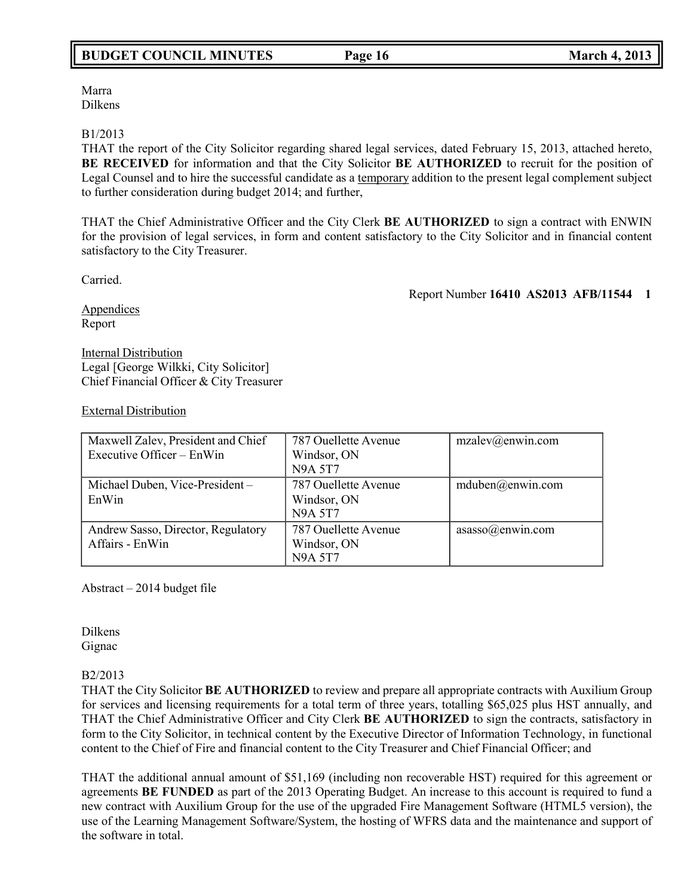Marra Dilkens

## B1/2013

THAT the report of the City Solicitor regarding shared legal services, dated February 15, 2013, attached hereto, **BE RECEIVED** for information and that the City Solicitor **BE AUTHORIZED** to recruit for the position of Legal Counsel and to hire the successful candidate as a temporary addition to the present legal complement subject to further consideration during budget 2014; and further,

THAT the Chief Administrative Officer and the City Clerk **BE AUTHORIZED** to sign a contract with ENWIN for the provision of legal services, in form and content satisfactory to the City Solicitor and in financial content satisfactory to the City Treasurer.

Carried.

Report Number **16410 AS2013 AFB/11544 1**

**Appendices** Report

Internal Distribution Legal [George Wilkki, City Solicitor] Chief Financial Officer & City Treasurer

### External Distribution

| Maxwell Zalev, President and Chief<br>Executive Officer – EnWin | 787 Ouellette Avenue<br>Windsor, ON<br><b>N9A 5T7</b> | $mzalev(\omega)$ enwin.com |
|-----------------------------------------------------------------|-------------------------------------------------------|----------------------------|
| Michael Duben, Vice-President-<br>EnWin                         | 787 Ouellette Avenue<br>Windsor, ON<br><b>N9A 5T7</b> | mduben@enwin.com           |
| Andrew Sasso, Director, Regulatory<br>Affairs - EnWin           | 787 Ouellette Avenue<br>Windsor, ON<br><b>N9A 5T7</b> | assso@enwin.com            |

Abstract – 2014 budget file

Dilkens Gignac

## B2/2013

THAT the City Solicitor **BE AUTHORIZED** to review and prepare all appropriate contracts with Auxilium Group for services and licensing requirements for a total term of three years, totalling \$65,025 plus HST annually, and THAT the Chief Administrative Officer and City Clerk **BE AUTHORIZED** to sign the contracts, satisfactory in form to the City Solicitor, in technical content by the Executive Director of Information Technology, in functional content to the Chief of Fire and financial content to the City Treasurer and Chief Financial Officer; and

THAT the additional annual amount of \$51,169 (including non recoverable HST) required for this agreement or agreements **BE FUNDED** as part of the 2013 Operating Budget. An increase to this account is required to fund a new contract with Auxilium Group for the use of the upgraded Fire Management Software (HTML5 version), the use of the Learning Management Software/System, the hosting of WFRS data and the maintenance and support of the software in total.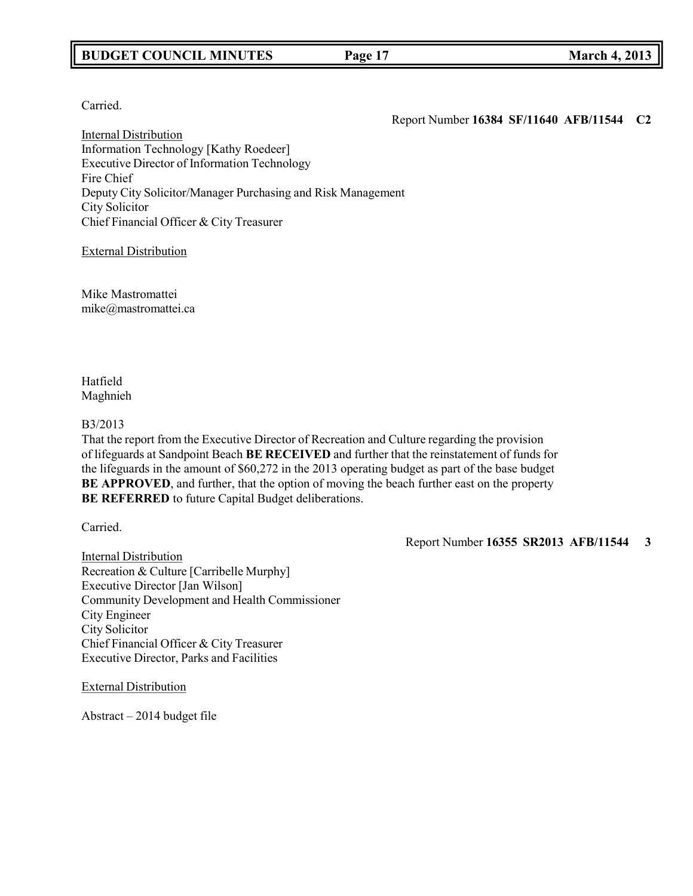## **BUDGET COUNCIL MINUTES Page 17 March 4, 2013**

Carried.

Report Number **16384 SF/11640 AFB/11544 C2**

Internal Distribution Information Technology [Kathy Roedeer] Executive Director of Information Technology Fire Chief Deputy City Solicitor/Manager Purchasing and Risk Management City Solicitor Chief Financial Officer & City Treasurer

External Distribution

Mike Mastromattei [mike@mastromattei.ca](mailto:mike@mastromattei.ca)

Hatfield Maghnieh

### B3/2013

That the report from the Executive Director of Recreation and Culture regarding the provision of lifeguards at Sandpoint Beach **BE RECEIVED** and further that the reinstatement of funds for the lifeguards in the amount of \$60,272 in the 2013 operating budget as part of the base budget **BE APPROVED**, and further, that the option of moving the beach further east on the property **BE REFERRED** to future Capital Budget deliberations.

Carried.

Report Number **16355 SR2013 AFB/11544 3**

Internal Distribution Recreation & Culture [Carribelle Murphy] Executive Director [Jan Wilson] Community Development and Health Commissioner City Engineer City Solicitor Chief Financial Officer & City Treasurer Executive Director, Parks and Facilities

External Distribution

Abstract – 2014 budget file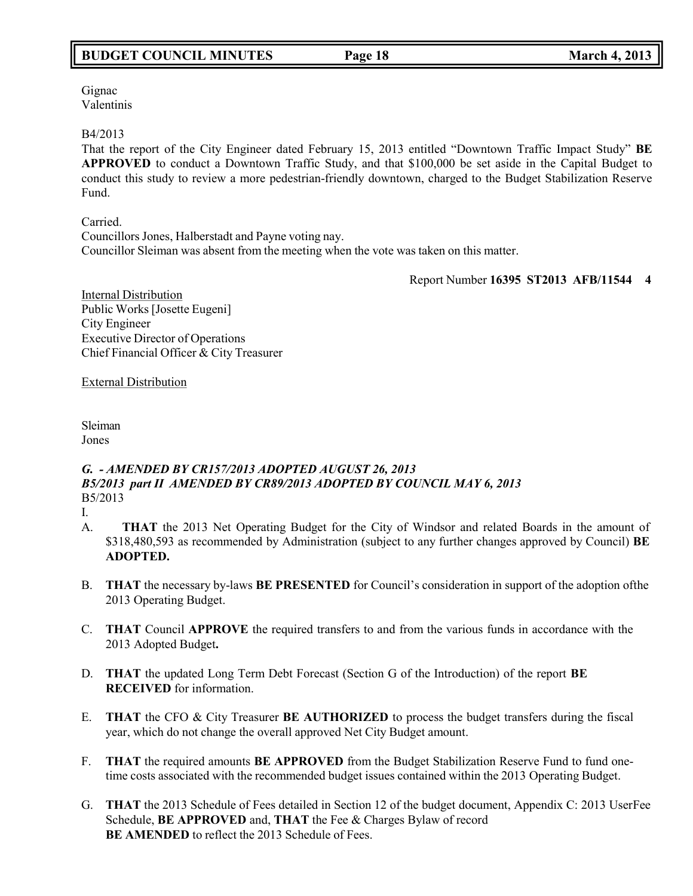Gignac Valentinis

B4/2013

That the report of the City Engineer dated February 15, 2013 entitled "Downtown Traffic Impact Study" **BE APPROVED** to conduct a Downtown Traffic Study, and that \$100,000 be set aside in the Capital Budget to conduct this study to review a more pedestrian-friendly downtown, charged to the Budget Stabilization Reserve Fund.

Carried. CouncillorsJones, Halberstadt and Payne voting nay. Councillor Sleiman was absent from the meeting when the vote was taken on this matter.

Report Number **16395 ST2013 AFB/11544 4**

Internal Distribution Public Works [Josette Eugeni] City Engineer Executive Director of Operations Chief Financial Officer & City Treasurer

External Distribution

Sleiman Jones

## *G. - AMENDED BY CR157/2013 ADOPTED AUGUST 26, 2013 B5/2013 part II AMENDED BY CR89/2013 ADOPTED BY COUNCIL MAY 6, 2013* B5/2013

I.

- A. **THAT** the 2013 Net Operating Budget for the City of Windsor and related Boards in the amount of \$318,480,593 as recommended by Administration (subject to any further changes approved by Council) **BE ADOPTED.**
- B. **THAT** the necessary by-laws **BE PRESENTED** for Council's consideration in support of the adoption ofthe 2013 Operating Budget.
- C. **THAT** Council **APPROVE** the required transfers to and from the various funds in accordance with the 2013 Adopted Budget**.**
- D. **THAT** the updated Long Term Debt Forecast (Section G of the Introduction) of the report **BE RECEIVED** for information.
- E. **THAT** the CFO & City Treasurer **BE AUTHORIZED** to process the budget transfers during the fiscal year, which do not change the overall approved Net City Budget amount.
- F. **THAT** the required amounts **BE APPROVED** from the Budget Stabilization Reserve Fund to fund onetime costs associated with the recommended budget issues contained within the 2013 Operating Budget.
- G. **THAT** the 2013 Schedule of Fees detailed in Section 12 of the budget document, Appendix C: 2013 UserFee Schedule, **BE APPROVED** and, **THAT** the Fee & Charges Bylaw of record **BE AMENDED** to reflect the 2013 Schedule of Fees.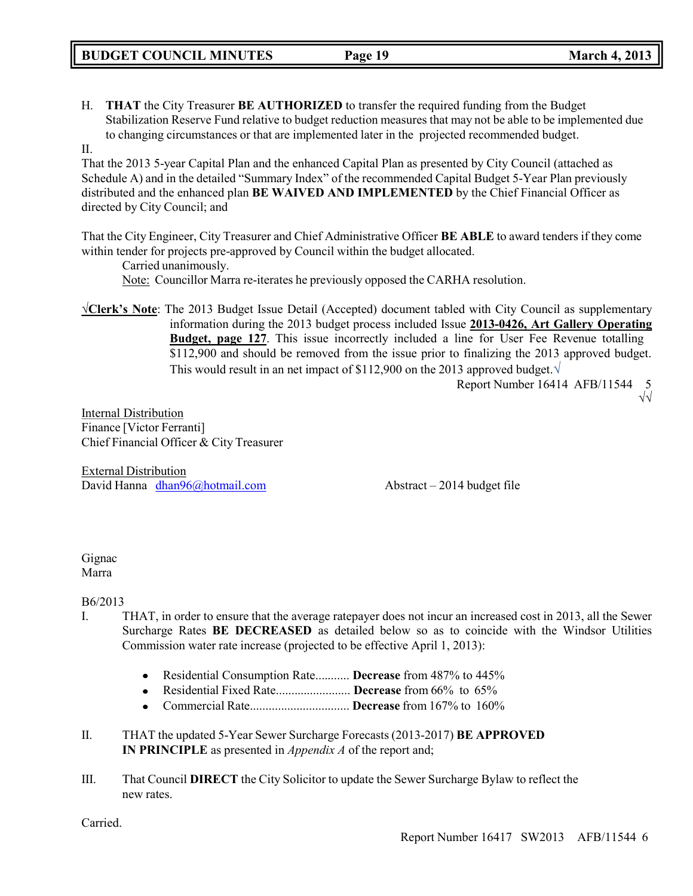H. **THAT** the City Treasurer **BE AUTHORIZED** to transfer the required funding from the Budget Stabilization Reserve Fund relative to budget reduction measures that may not be able to be implemented due to changing circumstances or that are implemented later in the projected recommended budget.

## II.

That the 2013 5-year Capital Plan and the enhanced Capital Plan as presented by City Council (attached as Schedule A) and in the detailed "Summary Index" of the recommended Capital Budget 5-Year Plan previously distributed and the enhanced plan **BE WAIVED AND IMPLEMENTED** by the Chief Financial Officer as directed by City Council; and

That the City Engineer, City Treasurer and Chief Administrative Officer **BE ABLE** to award tenders if they come within tender for projects pre-approved by Council within the budget allocated.

Carried unanimously. Note: Councillor Marra re-iterates he previously opposed the CARHA resolution.

**√Clerk's Note**: The 2013 Budget Issue Detail (Accepted) document tabled with City Council as supplementary information during the 2013 budget process included Issue **2013-0426, Art Gallery Operating Budget, page 127**. This issue incorrectly included a line for User Fee Revenue totalling \$112,900 and should be removed from the issue prior to finalizing the 2013 approved budget. This would result in an net impact of \$112,900 on the 2013 approved budget.*√*

> Report Number 16414 AFB/11544 √√

Internal Distribution Finance [Victor Ferranti] Chief Financial Officer & City Treasurer

External Distribution David Hanna [dhan96@hotmail.com](mailto:dhan96@hotmail.com) Abstract – 2014 budget file

#### Gignac Marra

B6/2013

- I. THAT, in order to ensure that the average ratepayer does not incur an increased cost in 2013, all the Sewer Surcharge Rates **BE DECREASED** as detailed below so as to coincide with the Windsor Utilities Commission water rate increase (projected to be effective April 1, 2013):
	- Residential Consumption Rate........... **Decrease** from 487% to 445%
	- Residential Fixed Rate........................ **Decrease** from 66% to 65%
	- Commercial Rate................................ **Decrease** from 167% to 160%  $\bullet$
- II. THAT the updated 5-Year Sewer Surcharge Forecasts (2013-2017) **BE APPROVED IN PRINCIPLE** as presented in *Appendix A* of the report and;
- III. That Council **DIRECT** the City Solicitor to update the Sewer Surcharge Bylaw to reflect the new rates.

Carried.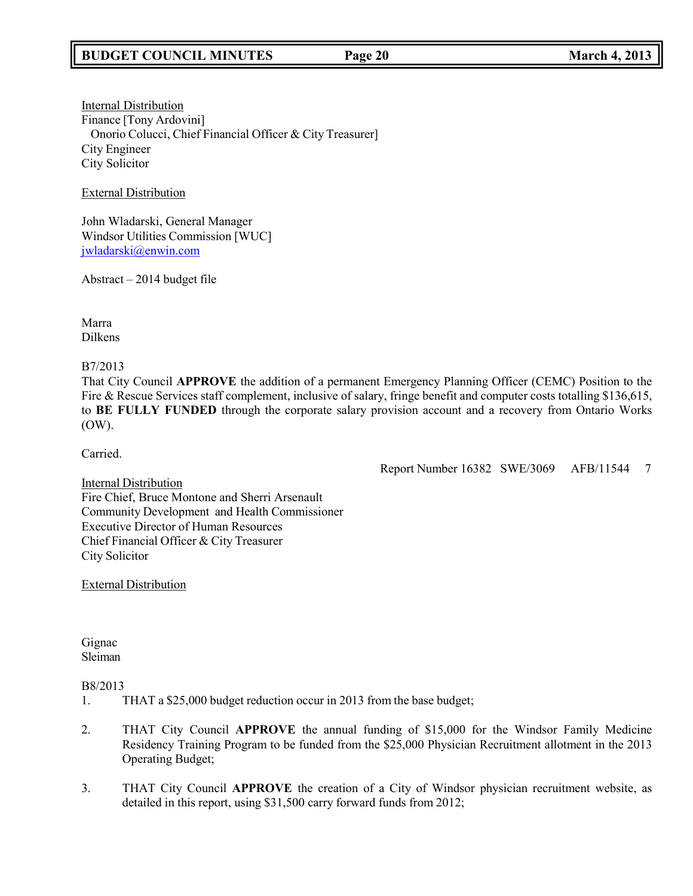Internal Distribution Finance [Tony Ardovini] Onorio Colucci, Chief Financial Officer & City Treasurer] City Engineer City Solicitor

External Distribution

John Wladarski, General Manager Windsor Utilities Commission [WUC] [jwladarski@enwin.com](mailto:jwladarski@enwin.com)

Abstract – 2014 budget file

Marra Dilkens

B7/2013

That City Council **APPROVE** the addition of a permanent Emergency Planning Officer (CEMC) Position to the Fire & Rescue Services staff complement, inclusive of salary, fringe benefit and computer costs totalling \$136,615, to **BE FULLY FUNDED** through the corporate salary provision account and a recovery from Ontario Works (OW).

Carried.

Report Number 16382 SWE/3069 AFB/11544 7

Internal Distribution Fire Chief, Bruce Montone and Sherri Arsenault Community Development and Health Commissioner Executive Director of Human Resources Chief Financial Officer & City Treasurer City Solicitor

External Distribution

Gignac Sleiman

## B8/2013

- 1. THAT a \$25,000 budget reduction occur in 2013 from the base budget;
- 2. THAT City Council **APPROVE** the annual funding of \$15,000 for the Windsor Family Medicine Residency Training Program to be funded from the \$25,000 Physician Recruitment allotment in the 2013 Operating Budget;
- 3. THAT City Council **APPROVE** the creation of a City of Windsor physician recruitment website, as detailed in this report, using \$31,500 carry forward funds from 2012;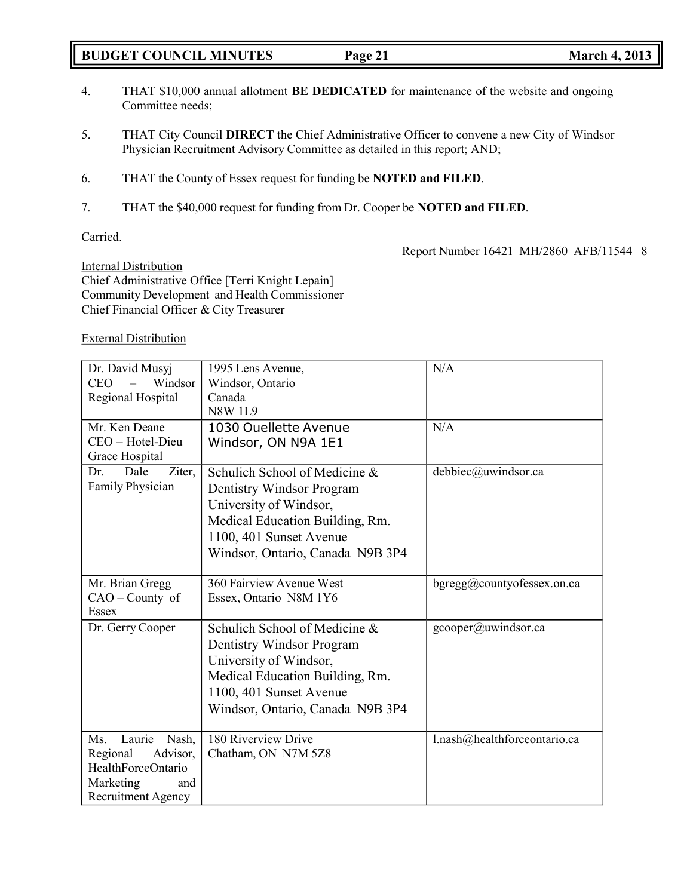## **BUDGET COUNCIL MINUTES Page 21 March 4, 2013**

- 4. THAT \$10,000 annual allotment **BE DEDICATED** for maintenance of the website and ongoing Committee needs;
- 5. THAT City Council **DIRECT** the Chief Administrative Officer to convene a new City of Windsor Physician Recruitment Advisory Committee as detailed in this report; AND;
- 6. THAT the County of Essex request for funding be **NOTED and FILED**.
- 7. THAT the \$40,000 request for funding from Dr. Cooper be **NOTED and FILED**.

## Carried.

Report Number 16421 MH/2860 AFB/11544 8

Internal Distribution Chief Administrative Office [Terri Knight Lepain] Community Development and Health Commissioner Chief Financial Officer & City Treasurer

## External Distribution

| Dr. David Musyj<br><b>CEO</b><br>Windsor<br>Regional Hospital                                                         | 1995 Lens Avenue,<br>Windsor, Ontario<br>Canada<br><b>N8W 1L9</b>                                                                                                                      | N/A                          |
|-----------------------------------------------------------------------------------------------------------------------|----------------------------------------------------------------------------------------------------------------------------------------------------------------------------------------|------------------------------|
| Mr. Ken Deane<br>CEO - Hotel-Dieu<br>Grace Hospital                                                                   | 1030 Ouellette Avenue<br>Windsor, ON N9A 1E1                                                                                                                                           | N/A                          |
| Dale<br>Ziter,<br>Dr.<br>Family Physician                                                                             | Schulich School of Medicine &<br>Dentistry Windsor Program<br>University of Windsor,<br>Medical Education Building, Rm.<br>1100, 401 Sunset Avenue<br>Windsor, Ontario, Canada N9B 3P4 | debbiec@uwindsor.ca          |
| Mr. Brian Gregg<br>CAO - County of<br>Essex                                                                           | 360 Fairview Avenue West<br>Essex, Ontario N8M 1Y6                                                                                                                                     | bgregg@countyofessex.on.ca   |
| Dr. Gerry Cooper                                                                                                      | Schulich School of Medicine &<br>Dentistry Windsor Program<br>University of Windsor,<br>Medical Education Building, Rm.<br>1100, 401 Sunset Avenue<br>Windsor, Ontario, Canada N9B 3P4 | gcooper@uwindsor.ca          |
| Laurie<br>Ms.<br>Nash,<br>Advisor,<br>Regional<br>HealthForceOntario<br>Marketing<br>and<br><b>Recruitment Agency</b> | 180 Riverview Drive<br>Chatham, ON N7M 5Z8                                                                                                                                             | l.nash@healthforceontario.ca |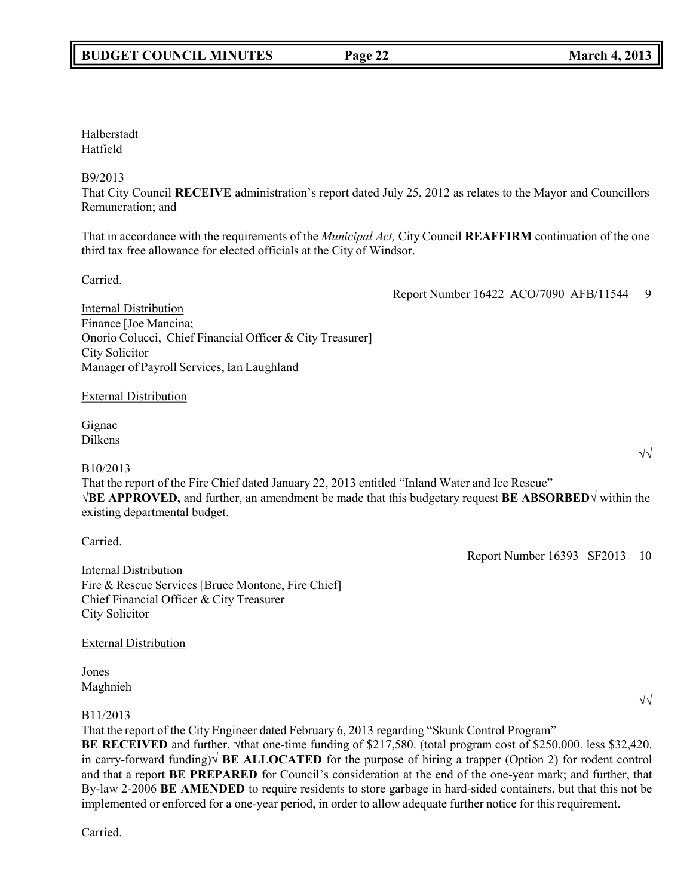## Halberstadt Hatfield

## B9/2013

That City Council **RECEIVE** administration's report dated July 25, 2012 as relates to the Mayor and Councillors Remuneration; and

That in accordance with the requirements of the *Municipal Act,* City Council **REAFFIRM** continuation of the one third tax free allowance for elected officials at the City of Windsor.

Carried.

Internal Distribution Finance [Joe Mancina; Onorio Colucci, Chief Financial Officer & City Treasurer] City Solicitor Manager of Payroll Services, Ian Laughland External Distribution Gignac Dilkens √√ B10/2013 That the report of the Fire Chief dated January 22, 2013 entitled "Inland Water and Ice Rescue" **√BE APPROVED,** and further, an amendment be made that this budgetary request **BE ABSORBED√** within the existing departmental budget.

Internal Distribution Fire & Rescue Services [Bruce Montone, Fire Chief] Chief Financial Officer & City Treasurer City Solicitor

External Distribution

Jones Maghnieh

Carried.

## B11/2013

That the report of the City Engineer dated February 6, 2013 regarding "Skunk Control Program" **BE RECEIVED** and further, √that one-time funding of \$217,580. (total program cost of \$250,000. less \$32,420. in carry-forward funding)√ **BE ALLOCATED** for the purpose of hiring a trapper (Option 2) for rodent control and that a report **BE PREPARED** for Council's consideration at the end of the one-year mark; and further, that By-law 2-2006 **BE AMENDED** to require residents to store garbage in hard-sided containers, but that this not be implemented or enforced for a one-year period, in order to allow adequate further notice for this requirement.

Carried.

Report Number 16422 ACO/7090 AFB/11544 9

Report Number 16393 SF2013 10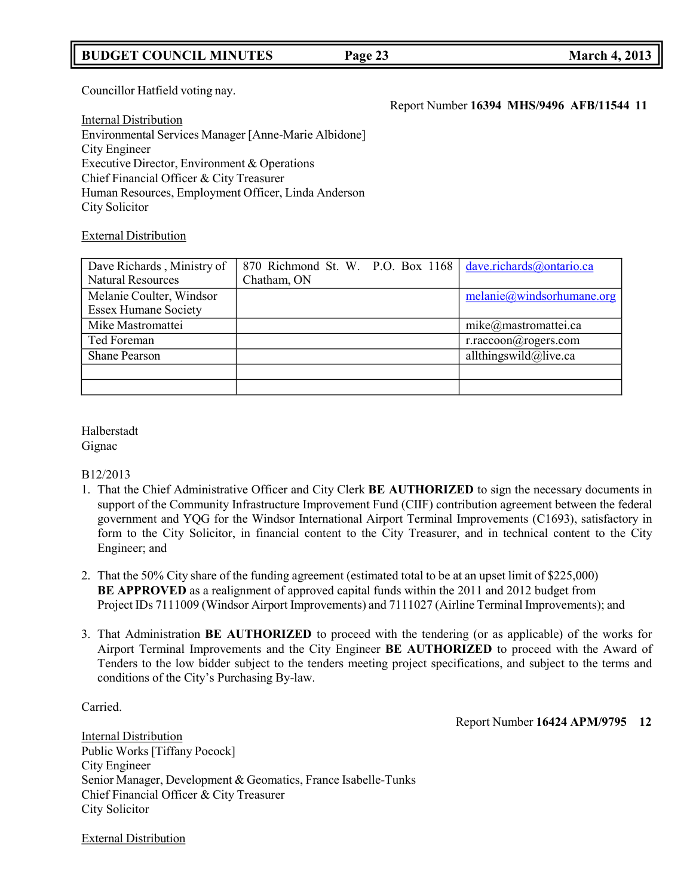## **BUDGET COUNCIL MINUTES Page 23 March 4, 2013**

## Councillor Hatfield voting nay.

Internal Distribution Environmental Services Manager [Anne-Marie Albidone] City Engineer Executive Director, Environment & Operations Chief Financial Officer & City Treasurer Human Resources, Employment Officer, Linda Anderson City Solicitor

### External Distribution

| Dave Richards, Ministry of  |             | 870 Richmond St. W. P.O. Box 1168   dave.richards@ontario.ca |
|-----------------------------|-------------|--------------------------------------------------------------|
| <b>Natural Resources</b>    | Chatham, ON |                                                              |
| Melanie Coulter, Windsor    |             | melanie@windsorhumane.org                                    |
| <b>Essex Humane Society</b> |             |                                                              |
| Mike Mastromattei           |             | mike@mastromattei.ca                                         |
| Ted Foreman                 |             | r.raccoon@rogers.com                                         |
| <b>Shane Pearson</b>        |             | allthingswild@live.ca                                        |
|                             |             |                                                              |
|                             |             |                                                              |

#### Halberstadt Gignac

#### B12/2013

- 1. That the Chief Administrative Officer and City Clerk **BE AUTHORIZED** to sign the necessary documents in support of the Community Infrastructure Improvement Fund (CIIF) contribution agreement between the federal government and YQG for the Windsor International Airport Terminal Improvements (C1693), satisfactory in form to the City Solicitor, in financial content to the City Treasurer, and in technical content to the City Engineer; and
- 2. That the 50% City share of the funding agreement (estimated total to be at an upset limit of \$225,000) **BE APPROVED** as a realignment of approved capital funds within the 2011 and 2012 budget from Project IDs 7111009 (Windsor Airport Improvements) and 7111027 (Airline Terminal Improvements); and
- 3. That Administration **BE AUTHORIZED** to proceed with the tendering (or as applicable) of the works for Airport Terminal Improvements and the City Engineer **BE AUTHORIZED** to proceed with the Award of Tenders to the low bidder subject to the tenders meeting project specifications, and subject to the terms and conditions of the City's Purchasing By-law.

Carried.

#### Report Number **16424 APM/9795 12**

Internal Distribution Public Works [Tiffany Pocock] City Engineer Senior Manager, Development & Geomatics, France Isabelle-Tunks Chief Financial Officer & City Treasurer City Solicitor

External Distribution

Report Number **16394 MHS/9496 AFB/11544 11**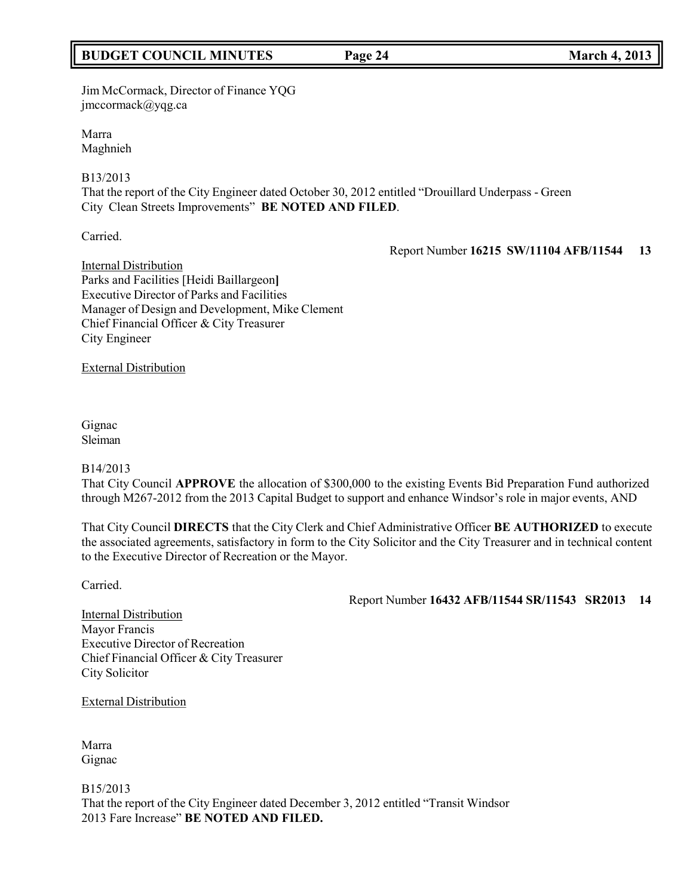## **BUDGET COUNCIL MINUTES Page 24 March 4, 2013**

Jim McCormack, Director of Finance YQG [jmccormack@yqg.ca](mailto:jmccormack@yqg.ca)

Marra Maghnieh

## B13/2013

That the report of the City Engineer dated October 30, 2012 entitled "Drouillard Underpass - Green City Clean Streets Improvements" **BE NOTED AND FILED**.

Carried.

Report Number **16215 SW/11104 AFB/11544 13**

Internal Distribution Parks and Facilities [Heidi Baillargeon**]** Executive Director of Parks and Facilities Manager of Design and Development, Mike Clement Chief Financial Officer & City Treasurer City Engineer

External Distribution

Gignac Sleiman

#### B14/2013

That City Council **APPROVE** the allocation of \$300,000 to the existing Events Bid Preparation Fund authorized through M267-2012 from the 2013 Capital Budget to support and enhance Windsor's role in major events, AND

That City Council **DIRECTS** that the City Clerk and Chief Administrative Officer **BE AUTHORIZED** to execute the associated agreements, satisfactory in form to the City Solicitor and the City Treasurer and in technical content to the Executive Director of Recreation or the Mayor.

Carried.

Report Number **16432 AFB/11544 SR/11543 SR2013 14**

**Internal Distribution** Mayor Francis Executive Director of Recreation Chief Financial Officer & City Treasurer City Solicitor

## External Distribution

Marra Gignac

B15/2013 That the report of the City Engineer dated December 3, 2012 entitled "Transit Windsor 2013 Fare Increase" **BE NOTED AND FILED.**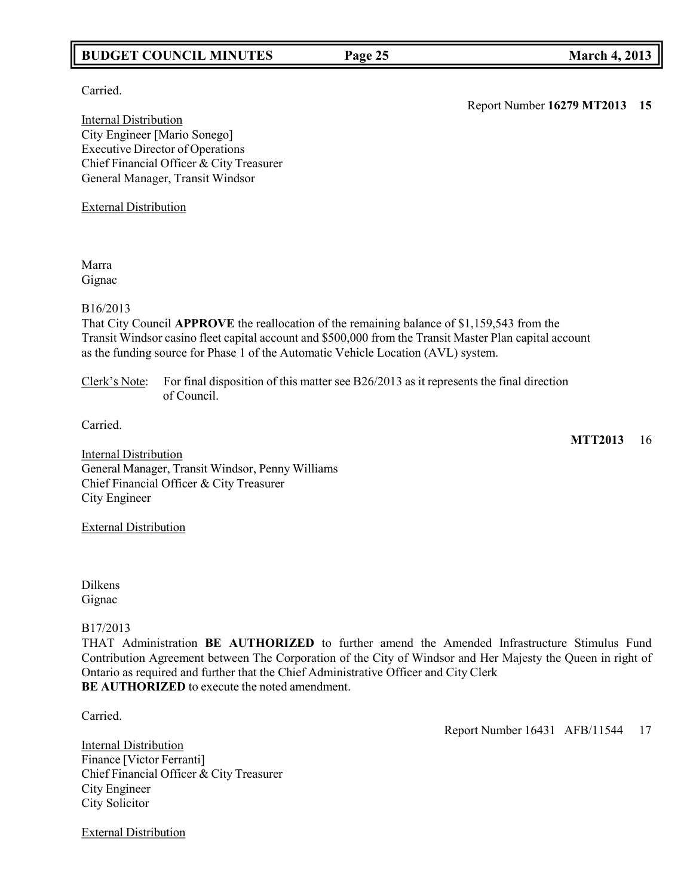## **BUDGET COUNCIL MINUTES Page 25 March 4, 2013**

Carried.

Internal Distribution City Engineer [Mario Sonego] Executive Director of Operations Chief Financial Officer & City Treasurer General Manager, Transit Windsor

External Distribution

Marra Gignac

#### B16/2013

That City Council **APPROVE** the reallocation of the remaining balance of \$1,159,543 from the Transit Windsor casino fleet capital account and \$500,000 from the Transit Master Plan capital account as the funding source for Phase 1 of the Automatic Vehicle Location (AVL) system.

Clerk's Note: For final disposition of this matter see B26/2013 as it represents the final direction of Council.

**MTT2013** 16

**Internal Distribution** General Manager, Transit Windsor, Penny Williams Chief Financial Officer & City Treasurer City Engineer

External Distribution

Dilkens Gignac

## B17/2013

THAT Administration **BE AUTHORIZED** to further amend the Amended Infrastructure Stimulus Fund Contribution Agreement between The Corporation of the City of Windsor and Her Majesty the Queen in right of Ontario as required and further that the Chief Administrative Officer and City Clerk **BE AUTHORIZED** to execute the noted amendment.

Carried.

Internal Distribution Finance [Victor Ferranti] Chief Financial Officer & City Treasurer City Engineer City Solicitor

External Distribution

Report Number 16431 AFB/11544 17

Report Number **16279 MT2013 15**

Carried.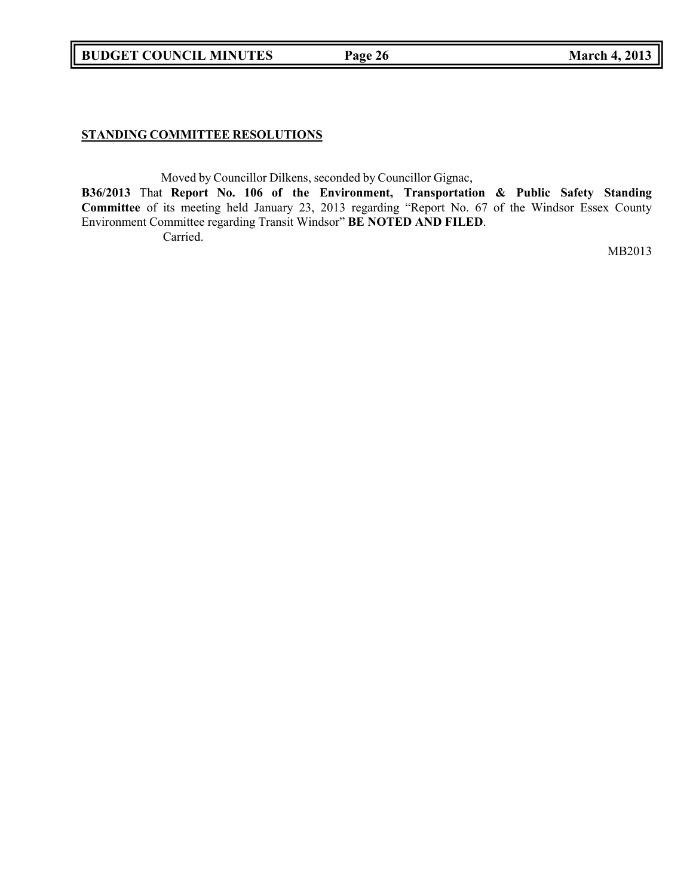**BUDGET COUNCIL MINUTES Page 26 March 4, 2013**

## **STANDING COMMITTEE RESOLUTIONS**

Moved by Councillor Dilkens, seconded by Councillor Gignac,

**B36/2013** That **Report No. 106 of the Environment, Transportation & Public Safety Standing Committee** of its meeting held January 23, 2013 regarding "Report No. 67 of the Windsor Essex County Environment Committee regarding Transit Windsor" **BE NOTED AND FILED**. Carried.

MB2013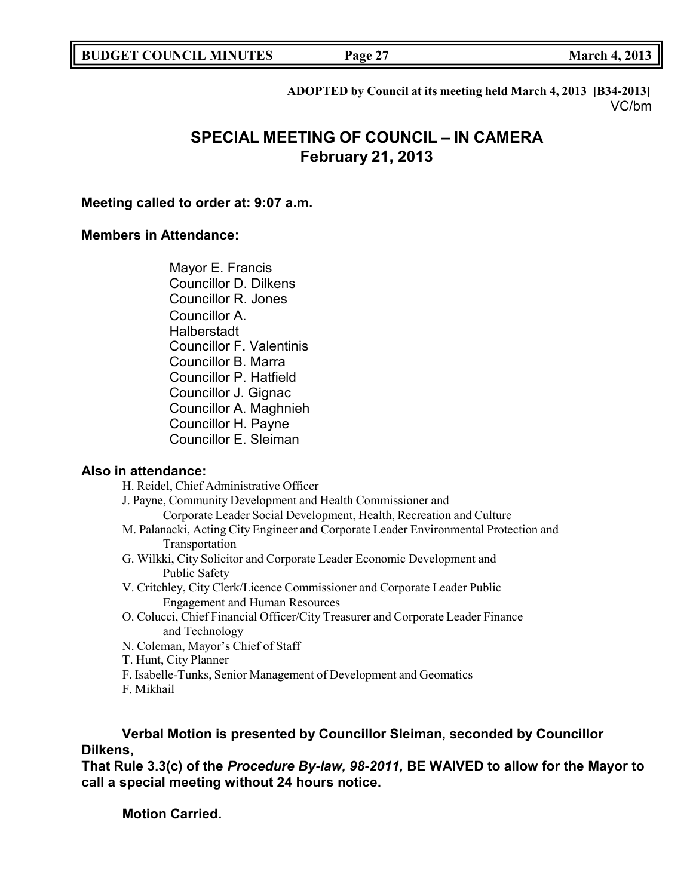**ADOPTED by Council at its meeting held March 4, 2013 [B34-2013]** VC/bm

# **SPECIAL MEETING OF COUNCIL – IN CAMERA February 21, 2013**

## **Meeting called to order at: 9:07 a.m.**

## **Members in Attendance:**

Mayor E. Francis Councillor D. Dilkens Councillor R. Jones Councillor A. **Halberstadt** Councillor F. Valentinis Councillor B. Marra Councillor P. Hatfield Councillor J. Gignac Councillor A. Maghnieh Councillor H. Payne Councillor E. Sleiman

## **Also in attendance:**

H. Reidel, Chief Administrative Officer

J. Payne, Community Development and Health Commissioner and

- Corporate Leader Social Development, Health, Recreation and Culture
- M. Palanacki, Acting City Engineer and Corporate Leader Environmental Protection and Transportation
- G. Wilkki, City Solicitor and Corporate Leader Economic Development and Public Safety
- V. Critchley, City Clerk/Licence Commissioner and Corporate Leader Public Engagement and Human Resources
- O. Colucci, Chief Financial Officer/City Treasurer and Corporate Leader Finance and Technology
- N. Coleman, Mayor's Chief of Staff
- T. Hunt, City Planner
- F. Isabelle-Tunks, Senior Management of Development and Geomatics
- F. Mikhail

## **Verbal Motion is presented by Councillor Sleiman, seconded by Councillor Dilkens,**

**That Rule 3.3(c) of the** *Procedure By-law, 98-2011,* **BE WAIVED to allow for the Mayor to call a special meeting without 24 hours notice.**

**Motion Carried.**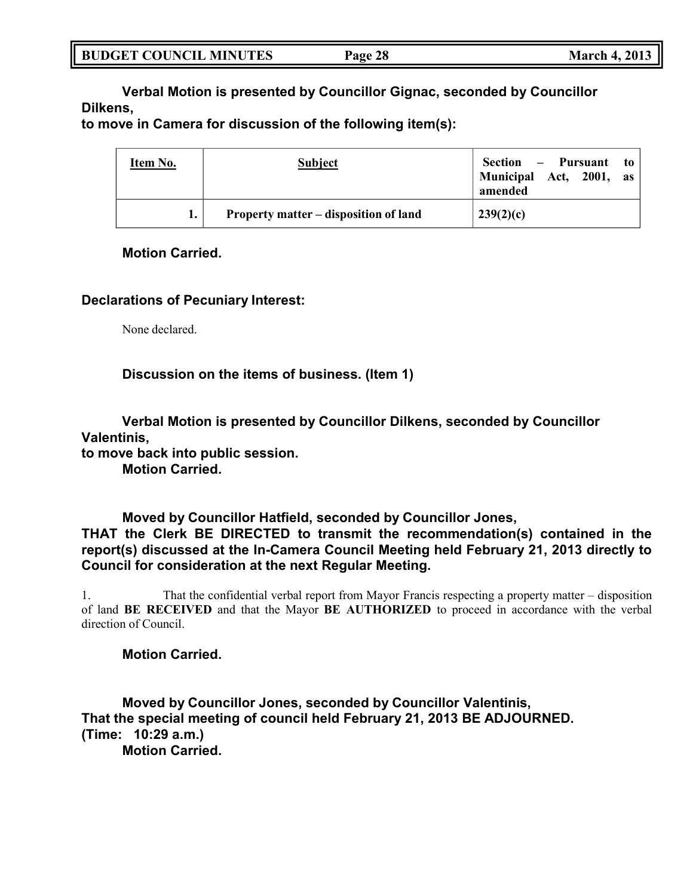| <b>BUDGET COUNCIL MINUTES</b> | <b>March 4, 2013</b><br>Page 28 |
|-------------------------------|---------------------------------|
|-------------------------------|---------------------------------|

**Verbal Motion is presented by Councillor Gignac, seconded by Councillor Dilkens,**

**to move in Camera for discussion of the following item(s):**

| Item No. | <b>Subject</b>                        | Section – Pursuant to<br>Municipal Act, 2001, as<br>amended |
|----------|---------------------------------------|-------------------------------------------------------------|
|          | Property matter – disposition of land | 239(2)(c)                                                   |

## **Motion Carried.**

## **Declarations of Pecuniary Interest:**

None declared.

**Discussion on the items of business. (Item 1)**

**Verbal Motion is presented by Councillor Dilkens, seconded by Councillor Valentinis, to move back into public session. Motion Carried.**

**Moved by Councillor Hatfield, seconded by Councillor Jones, THAT the Clerk BE DIRECTED to transmit the recommendation(s) contained in the report(s) discussed at the In-Camera Council Meeting held February 21, 2013 directly to Council for consideration at the next Regular Meeting.**

1. That the confidential verbal report from Mayor Francis respecting a property matter – disposition of land **BE RECEIVED** and that the Mayor **BE AUTHORIZED** to proceed in accordance with the verbal direction of Council.

**Motion Carried.**

**Moved by Councillor Jones, seconded by Councillor Valentinis, That the special meeting of council held February 21, 2013 BE ADJOURNED. (Time: 10:29 a.m.) Motion Carried.**